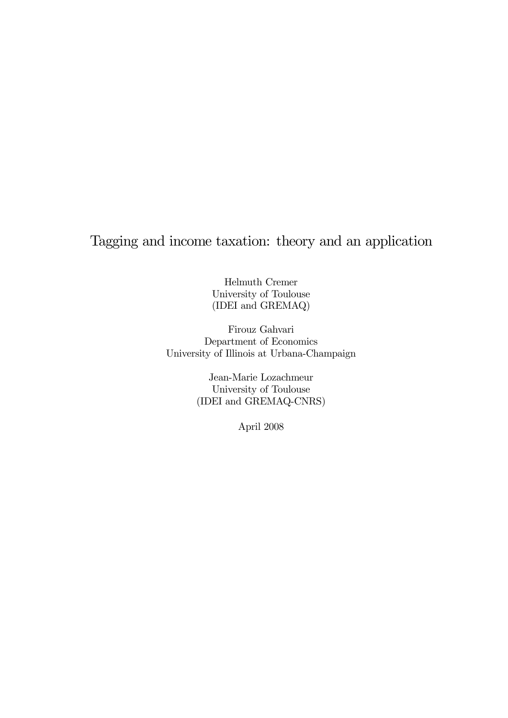# Tagging and income taxation: theory and an application

Helmuth Cremer University of Toulouse (IDEI and GREMAQ)

Firouz Gahvari Department of Economics University of Illinois at Urbana-Champaign

> Jean-Marie Lozachmeur University of Toulouse (IDEI and GREMAQ-CNRS)

> > April 2008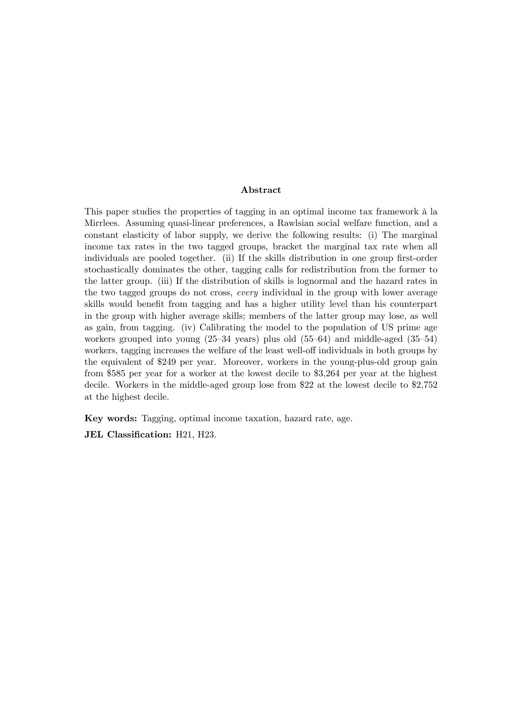#### Abstract

This paper studies the properties of tagging in an optimal income tax framework à la Mirrlees. Assuming quasi-linear preferences, a Rawlsian social welfare function, and a constant elasticity of labor supply, we derive the following results: (i) The marginal income tax rates in the two tagged groups, bracket the marginal tax rate when all individuals are pooled together. (ii) If the skills distribution in one group first-order stochastically dominates the other, tagging calls for redistribution from the former to the latter group. (iii) If the distribution of skills is lognormal and the hazard rates in the two tagged groups do not cross, every individual in the group with lower average skills would benefit from tagging and has a higher utility level than his counterpart in the group with higher average skills; members of the latter group may lose, as well as gain, from tagging. (iv) Calibrating the model to the population of US prime age workers grouped into young (25—34 years) plus old (55—64) and middle-aged (35—54) workers, tagging increases the welfare of the least well-off individuals in both groups by the equivalent of \$249 per year. Moreover, workers in the young-plus-old group gain from \$585 per year for a worker at the lowest decile to \$3,264 per year at the highest decile. Workers in the middle-aged group lose from \$22 at the lowest decile to \$2,752 at the highest decile.

Key words: Tagging, optimal income taxation, hazard rate, age.

JEL Classification: H21, H23.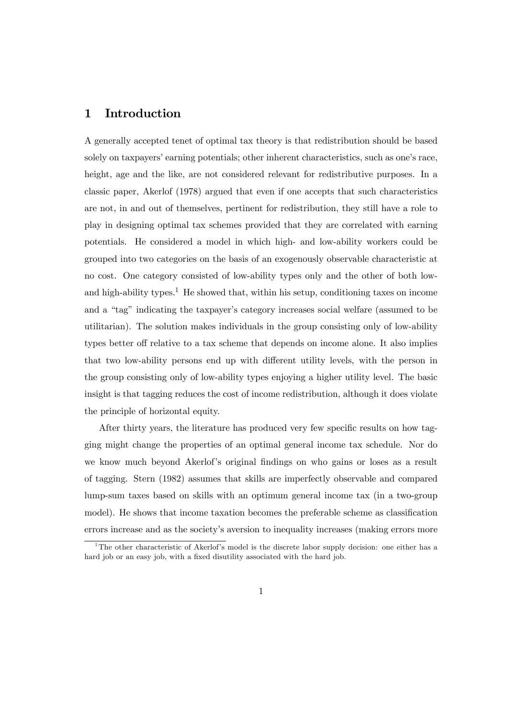### 1 Introduction

A generally accepted tenet of optimal tax theory is that redistribution should be based solely on taxpayers' earning potentials; other inherent characteristics, such as one's race, height, age and the like, are not considered relevant for redistributive purposes. In a classic paper, Akerlof (1978) argued that even if one accepts that such characteristics are not, in and out of themselves, pertinent for redistribution, they still have a role to play in designing optimal tax schemes provided that they are correlated with earning potentials. He considered a model in which high- and low-ability workers could be grouped into two categories on the basis of an exogenously observable characteristic at no cost. One category consisted of low-ability types only and the other of both lowand high-ability types.<sup>1</sup> He showed that, within his setup, conditioning taxes on income and a "tag" indicating the taxpayer's category increases social welfare (assumed to be utilitarian). The solution makes individuals in the group consisting only of low-ability types better off relative to a tax scheme that depends on income alone. It also implies that two low-ability persons end up with different utility levels, with the person in the group consisting only of low-ability types enjoying a higher utility level. The basic insight is that tagging reduces the cost of income redistribution, although it does violate the principle of horizontal equity.

After thirty years, the literature has produced very few specific results on how tagging might change the properties of an optimal general income tax schedule. Nor do we know much beyond Akerlof's original findings on who gains or loses as a result of tagging. Stern (1982) assumes that skills are imperfectly observable and compared lump-sum taxes based on skills with an optimum general income tax (in a two-group model). He shows that income taxation becomes the preferable scheme as classification errors increase and as the society's aversion to inequality increases (making errors more

<sup>&</sup>lt;sup>1</sup>The other characteristic of Akerlof's model is the discrete labor supply decision: one either has a hard job or an easy job, with a fixed disutility associated with the hard job.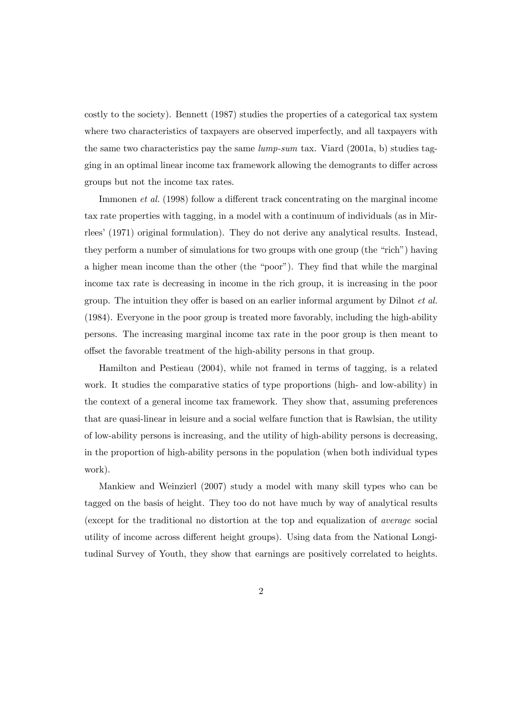costly to the society). Bennett (1987) studies the properties of a categorical tax system where two characteristics of taxpayers are observed imperfectly, and all taxpayers with the same two characteristics pay the same lump-sum tax. Viard (2001a, b) studies tagging in an optimal linear income tax framework allowing the demogrants to differ across groups but not the income tax rates.

Immonen et al. (1998) follow a different track concentrating on the marginal income tax rate properties with tagging, in a model with a continuum of individuals (as in Mirrlees' (1971) original formulation). They do not derive any analytical results. Instead, they perform a number of simulations for two groups with one group (the "rich") having a higher mean income than the other (the "poor"). They find that while the marginal income tax rate is decreasing in income in the rich group, it is increasing in the poor group. The intuition they offer is based on an earlier informal argument by Dilnot et al. (1984). Everyone in the poor group is treated more favorably, including the high-ability persons. The increasing marginal income tax rate in the poor group is then meant to offset the favorable treatment of the high-ability persons in that group.

Hamilton and Pestieau (2004), while not framed in terms of tagging, is a related work. It studies the comparative statics of type proportions (high- and low-ability) in the context of a general income tax framework. They show that, assuming preferences that are quasi-linear in leisure and a social welfare function that is Rawlsian, the utility of low-ability persons is increasing, and the utility of high-ability persons is decreasing, in the proportion of high-ability persons in the population (when both individual types work).

Mankiew and Weinzierl (2007) study a model with many skill types who can be tagged on the basis of height. They too do not have much by way of analytical results (except for the traditional no distortion at the top and equalization of average social utility of income across different height groups). Using data from the National Longitudinal Survey of Youth, they show that earnings are positively correlated to heights.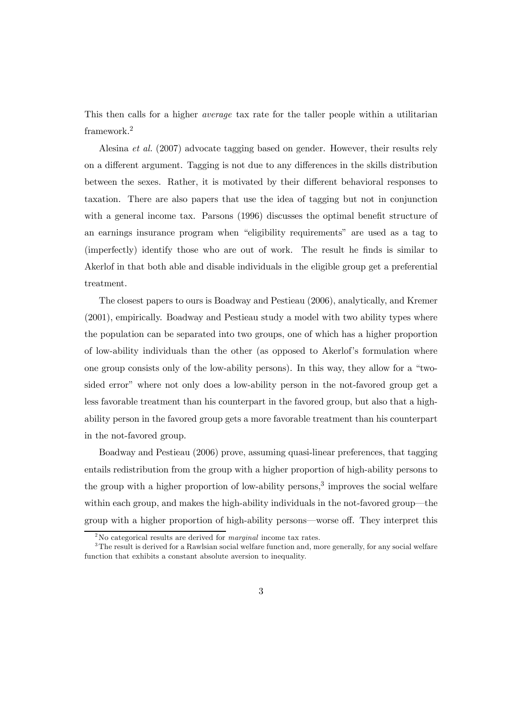This then calls for a higher *average* tax rate for the taller people within a utilitarian framework.<sup>2</sup>

Alesina et al. (2007) advocate tagging based on gender. However, their results rely on a different argument. Tagging is not due to any differences in the skills distribution between the sexes. Rather, it is motivated by their different behavioral responses to taxation. There are also papers that use the idea of tagging but not in conjunction with a general income tax. Parsons (1996) discusses the optimal benefit structure of an earnings insurance program when "eligibility requirements" are used as a tag to (imperfectly) identify those who are out of work. The result he finds is similar to Akerlof in that both able and disable individuals in the eligible group get a preferential treatment.

The closest papers to ours is Boadway and Pestieau (2006), analytically, and Kremer (2001), empirically. Boadway and Pestieau study a model with two ability types where the population can be separated into two groups, one of which has a higher proportion of low-ability individuals than the other (as opposed to Akerlof's formulation where one group consists only of the low-ability persons). In this way, they allow for a "twosided error" where not only does a low-ability person in the not-favored group get a less favorable treatment than his counterpart in the favored group, but also that a highability person in the favored group gets a more favorable treatment than his counterpart in the not-favored group.

Boadway and Pestieau (2006) prove, assuming quasi-linear preferences, that tagging entails redistribution from the group with a higher proportion of high-ability persons to the group with a higher proportion of low-ability persons,<sup>3</sup> improves the social welfare within each group, and makes the high-ability individuals in the not-favored group–the group with a higher proportion of high-ability persons–worse off. They interpret this

 $2^2$ No categorical results are derived for *marginal* income tax rates.

<sup>&</sup>lt;sup>3</sup>The result is derived for a Rawlsian social welfare function and, more generally, for any social welfare function that exhibits a constant absolute aversion to inequality.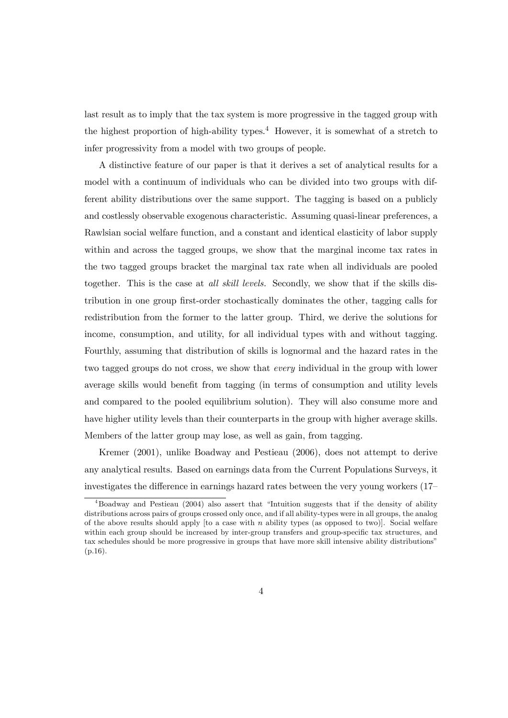last result as to imply that the tax system is more progressive in the tagged group with the highest proportion of high-ability types.<sup>4</sup> However, it is somewhat of a stretch to infer progressivity from a model with two groups of people.

A distinctive feature of our paper is that it derives a set of analytical results for a model with a continuum of individuals who can be divided into two groups with different ability distributions over the same support. The tagging is based on a publicly and costlessly observable exogenous characteristic. Assuming quasi-linear preferences, a Rawlsian social welfare function, and a constant and identical elasticity of labor supply within and across the tagged groups, we show that the marginal income tax rates in the two tagged groups bracket the marginal tax rate when all individuals are pooled together. This is the case at *all skill levels*. Secondly, we show that if the skills distribution in one group first-order stochastically dominates the other, tagging calls for redistribution from the former to the latter group. Third, we derive the solutions for income, consumption, and utility, for all individual types with and without tagging. Fourthly, assuming that distribution of skills is lognormal and the hazard rates in the two tagged groups do not cross, we show that every individual in the group with lower average skills would benefit from tagging (in terms of consumption and utility levels and compared to the pooled equilibrium solution). They will also consume more and have higher utility levels than their counterparts in the group with higher average skills. Members of the latter group may lose, as well as gain, from tagging.

Kremer (2001), unlike Boadway and Pestieau (2006), does not attempt to derive any analytical results. Based on earnings data from the Current Populations Surveys, it investigates the difference in earnings hazard rates between the very young workers (17—

<sup>4</sup>Boadway and Pestieau (2004) also assert that "Intuition suggests that if the density of ability distributions across pairs of groups crossed only once, and if all ability-types were in all groups, the analog of the above results should apply  $[$  to a case with n ability types (as opposed to two) $]$ . Social welfare within each group should be increased by inter-group transfers and group-specific tax structures, and tax schedules should be more progressive in groups that have more skill intensive ability distributions" (p.16).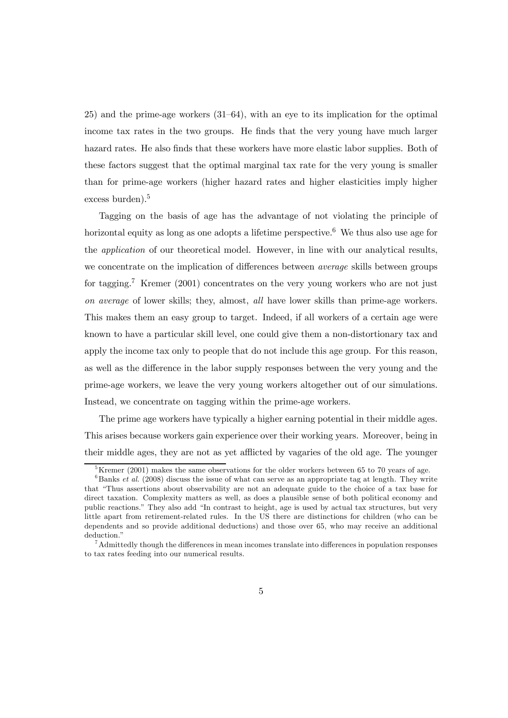25) and the prime-age workers (31—64), with an eye to its implication for the optimal income tax rates in the two groups. He finds that the very young have much larger hazard rates. He also finds that these workers have more elastic labor supplies. Both of these factors suggest that the optimal marginal tax rate for the very young is smaller than for prime-age workers (higher hazard rates and higher elasticities imply higher excess burden).<sup>5</sup>

Tagging on the basis of age has the advantage of not violating the principle of horizontal equity as long as one adopts a lifetime perspective.<sup>6</sup> We thus also use age for the application of our theoretical model. However, in line with our analytical results, we concentrate on the implication of differences between *average* skills between groups for tagging.<sup>7</sup> Kremer (2001) concentrates on the very young workers who are not just on average of lower skills; they, almost, all have lower skills than prime-age workers. This makes them an easy group to target. Indeed, if all workers of a certain age were known to have a particular skill level, one could give them a non-distortionary tax and apply the income tax only to people that do not include this age group. For this reason, as well as the difference in the labor supply responses between the very young and the prime-age workers, we leave the very young workers altogether out of our simulations. Instead, we concentrate on tagging within the prime-age workers.

The prime age workers have typically a higher earning potential in their middle ages. This arises because workers gain experience over their working years. Moreover, being in their middle ages, they are not as yet afflicted by vagaries of the old age. The younger

 $5$ Kremer (2001) makes the same observations for the older workers between 65 to 70 years of age.

 $6$ Banks et al. (2008) discuss the issue of what can serve as an appropriate tag at length. They write that "Thus assertions about observability are not an adequate guide to the choice of a tax base for direct taxation. Complexity matters as well, as does a plausible sense of both political economy and public reactions." They also add "In contrast to height, age is used by actual tax structures, but very little apart from retirement-related rules. In the US there are distinctions for children (who can be dependents and so provide additional deductions) and those over 65, who may receive an additional deduction."

<sup>7</sup>Admittedly though the differences in mean incomes translate into differences in population responses to tax rates feeding into our numerical results.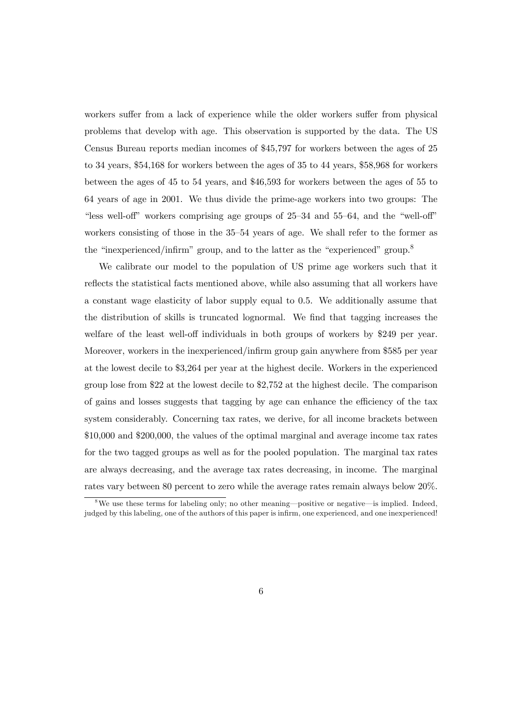workers suffer from a lack of experience while the older workers suffer from physical problems that develop with age. This observation is supported by the data. The US Census Bureau reports median incomes of \$45,797 for workers between the ages of 25 to 34 years, \$54,168 for workers between the ages of 35 to 44 years, \$58,968 for workers between the ages of 45 to 54 years, and \$46,593 for workers between the ages of 55 to 64 years of age in 2001. We thus divide the prime-age workers into two groups: The "less well-off" workers comprising age groups of 25—34 and 55—64, and the "well-off" workers consisting of those in the 35—54 years of age. We shall refer to the former as the "inexperienced/infirm" group, and to the latter as the "experienced" group.<sup>8</sup>

We calibrate our model to the population of US prime age workers such that it reflects the statistical facts mentioned above, while also assuming that all workers have a constant wage elasticity of labor supply equal to 0.5. We additionally assume that the distribution of skills is truncated lognormal. We find that tagging increases the welfare of the least well-off individuals in both groups of workers by \$249 per year. Moreover, workers in the inexperienced/infirm group gain anywhere from \$585 per year at the lowest decile to \$3,264 per year at the highest decile. Workers in the experienced group lose from \$22 at the lowest decile to \$2,752 at the highest decile. The comparison of gains and losses suggests that tagging by age can enhance the efficiency of the tax system considerably. Concerning tax rates, we derive, for all income brackets between \$10,000 and \$200,000, the values of the optimal marginal and average income tax rates for the two tagged groups as well as for the pooled population. The marginal tax rates are always decreasing, and the average tax rates decreasing, in income. The marginal rates vary between 80 percent to zero while the average rates remain always below 20%.

 $8\text{We}$  use these terms for labeling only; no other meaning—positive or negative—is implied. Indeed, judged by this labeling, one of the authors of this paper is infirm, one experienced, and one inexperienced!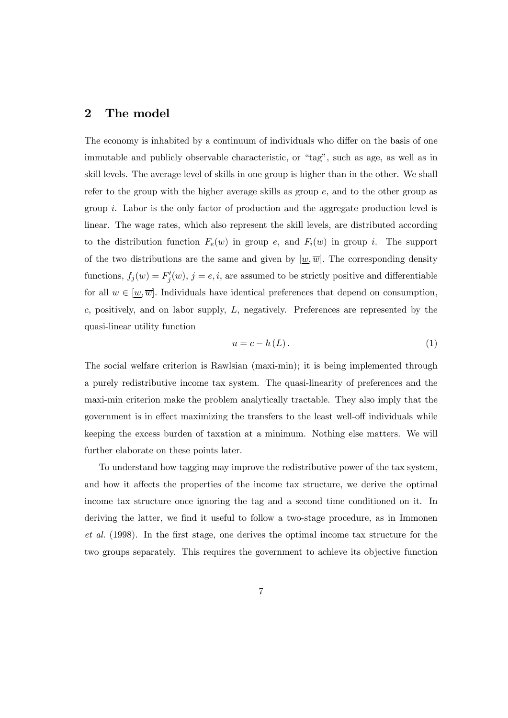### 2 The model

The economy is inhabited by a continuum of individuals who differ on the basis of one immutable and publicly observable characteristic, or "tag", such as age, as well as in skill levels. The average level of skills in one group is higher than in the other. We shall refer to the group with the higher average skills as group  $e$ , and to the other group as group i. Labor is the only factor of production and the aggregate production level is linear. The wage rates, which also represent the skill levels, are distributed according to the distribution function  $F_e(w)$  in group e, and  $F_i(w)$  in group i. The support of the two distributions are the same and given by  $[\underline{w}, \overline{w}]$ . The corresponding density functions,  $f_j(w) = F'_j(w)$ ,  $j = e, i$ , are assumed to be strictly positive and differentiable for all  $w \in [\underline{w}, \overline{w}]$ . Individuals have identical preferences that depend on consumption,  $c$ , positively, and on labor supply,  $L$ , negatively. Preferences are represented by the quasi-linear utility function

$$
u = c - h(L). \tag{1}
$$

The social welfare criterion is Rawlsian (maxi-min); it is being implemented through a purely redistributive income tax system. The quasi-linearity of preferences and the maxi-min criterion make the problem analytically tractable. They also imply that the government is in effect maximizing the transfers to the least well-off individuals while keeping the excess burden of taxation at a minimum. Nothing else matters. We will further elaborate on these points later.

To understand how tagging may improve the redistributive power of the tax system, and how it affects the properties of the income tax structure, we derive the optimal income tax structure once ignoring the tag and a second time conditioned on it. In deriving the latter, we find it useful to follow a two-stage procedure, as in Immonen et al. (1998). In the first stage, one derives the optimal income tax structure for the two groups separately. This requires the government to achieve its objective function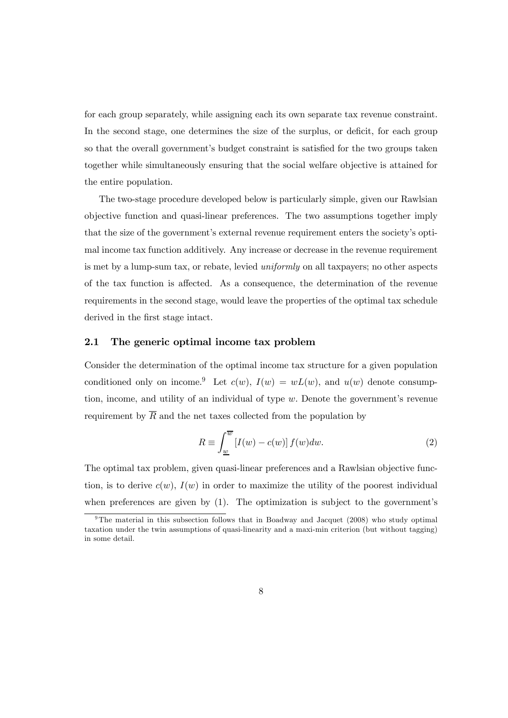for each group separately, while assigning each its own separate tax revenue constraint. In the second stage, one determines the size of the surplus, or deficit, for each group so that the overall government's budget constraint is satisfied for the two groups taken together while simultaneously ensuring that the social welfare objective is attained for the entire population.

The two-stage procedure developed below is particularly simple, given our Rawlsian objective function and quasi-linear preferences. The two assumptions together imply that the size of the government's external revenue requirement enters the society's optimal income tax function additively. Any increase or decrease in the revenue requirement is met by a lump-sum tax, or rebate, levied uniformly on all taxpayers; no other aspects of the tax function is affected. As a consequence, the determination of the revenue requirements in the second stage, would leave the properties of the optimal tax schedule derived in the first stage intact.

#### 2.1 The generic optimal income tax problem

Consider the determination of the optimal income tax structure for a given population conditioned only on income.<sup>9</sup> Let  $c(w)$ ,  $I(w) = wL(w)$ , and  $u(w)$  denote consumption, income, and utility of an individual of type  $w$ . Denote the government's revenue requirement by  $\overline{R}$  and the net taxes collected from the population by

$$
R \equiv \int_{\underline{w}}^{\overline{w}} \left[ I(w) - c(w) \right] f(w) dw.
$$
 (2)

The optimal tax problem, given quasi-linear preferences and a Rawlsian objective function, is to derive  $c(w)$ ,  $I(w)$  in order to maximize the utility of the poorest individual when preferences are given by  $(1)$ . The optimization is subject to the government's

<sup>&</sup>lt;sup>9</sup>The material in this subsection follows that in Boadway and Jacquet (2008) who study optimal taxation under the twin assumptions of quasi-linearity and a maxi-min criterion (but without tagging) in some detail.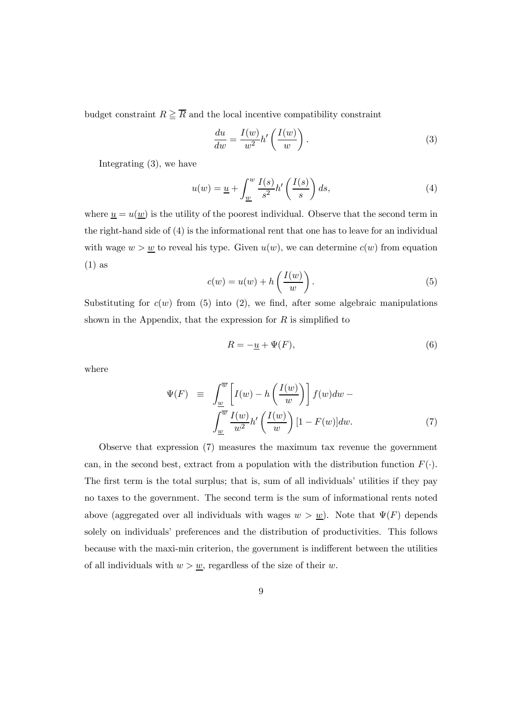budget constraint  $R \geq \overline{R}$  and the local incentive compatibility constraint

$$
\frac{du}{dw} = \frac{I(w)}{w^2}h'\left(\frac{I(w)}{w}\right). \tag{3}
$$

Integrating (3), we have

$$
u(w) = \underline{u} + \int_{\underline{w}}^{\underline{w}} \frac{I(s)}{s^2} h'\left(\frac{I(s)}{s}\right) ds,\tag{4}
$$

where  $\underline{u} = u(\underline{w})$  is the utility of the poorest individual. Observe that the second term in the right-hand side of (4) is the informational rent that one has to leave for an individual with wage  $w > w$  to reveal his type. Given  $u(w)$ , we can determine  $c(w)$  from equation (1) as

$$
c(w) = u(w) + h\left(\frac{I(w)}{w}\right). \tag{5}
$$

Substituting for  $c(w)$  from (5) into (2), we find, after some algebraic manipulations shown in the Appendix, that the expression for  $R$  is simplified to

$$
R = -\underline{u} + \Psi(F),\tag{6}
$$

where

$$
\Psi(F) \equiv \int_{\underline{w}}^{\overline{w}} \left[ I(w) - h\left(\frac{I(w)}{w}\right) \right] f(w) dw - \int_{\underline{w}}^{\overline{w}} \frac{I(w)}{w^2} h'\left(\frac{I(w)}{w}\right) [1 - F(w)] dw. \tag{7}
$$

Observe that expression (7) measures the maximum tax revenue the government can, in the second best, extract from a population with the distribution function  $F(\cdot)$ . The first term is the total surplus; that is, sum of all individuals' utilities if they pay no taxes to the government. The second term is the sum of informational rents noted above (aggregated over all individuals with wages  $w>\underline{w}$ ). Note that  $\Psi(F)$  depends solely on individuals' preferences and the distribution of productivities. This follows because with the maxi-min criterion, the government is indifferent between the utilities of all individuals with  $w > w$ , regardless of the size of their w.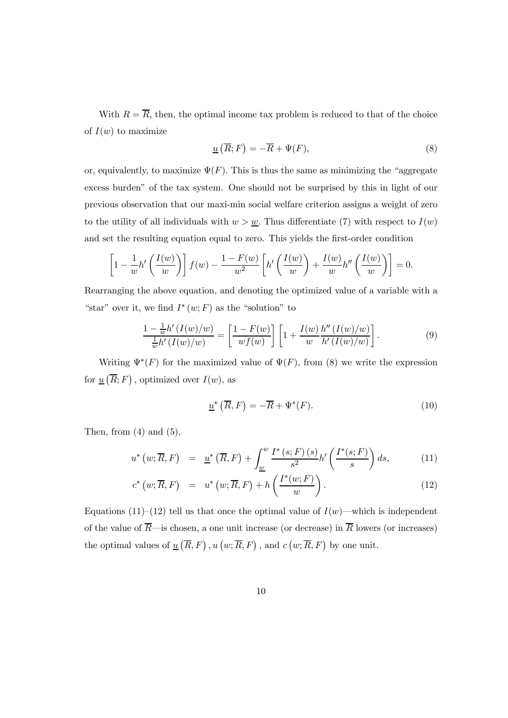With  $R = \overline{R}$ , then, the optimal income tax problem is reduced to that of the choice of  $I(w)$  to maximize

$$
\underline{u}(\overline{R};F) = -\overline{R} + \Psi(F),\tag{8}
$$

or, equivalently, to maximize  $\Psi(F)$ . This is thus the same as minimizing the "aggregate" excess burden" of the tax system. One should not be surprised by this in light of our previous observation that our maxi-min social welfare criterion assigns a weight of zero to the utility of all individuals with  $w>\underline{w}$ . Thus differentiate (7) with respect to  $I(w)$ and set the resulting equation equal to zero. This yields the first-order condition

$$
\[1 - \frac{1}{w}h'\left(\frac{I(w)}{w}\right)\]f(w) - \frac{1 - F(w)}{w^2}\left[h'\left(\frac{I(w)}{w}\right) + \frac{I(w)}{w}h''\left(\frac{I(w)}{w}\right)\right] = 0.
$$

Rearranging the above equation, and denoting the optimized value of a variable with a "star" over it, we find  $I^*(w;F)$  as the "solution" to

$$
\frac{1-\frac{1}{w}h'\left(I(w)/w\right)}{\frac{1}{w}h'\left(I(w)/w\right)} = \left[\frac{1-F(w)}{wf(w)}\right] \left[1+\frac{I(w)}{w}\frac{h''\left(I(w)/w\right)}{h'\left(I(w)/w\right)}\right].\tag{9}
$$

Writing  $\Psi^*(F)$  for the maximized value of  $\Psi(F)$ , from (8) we write the expression for  $\underline{u}(\overline{R};F)$ , optimized over  $I(w)$ , as

$$
\underline{u}^*\left(\overline{R},F\right) = -\overline{R} + \Psi^*(F). \tag{10}
$$

Then, from  $(4)$  and  $(5)$ ,

$$
u^*\left(w;\overline{R},F\right) = \underline{u}^*\left(\overline{R},F\right) + \int_{\underline{w}}^w \frac{I^*\left(s;F\right)\left(s\right)}{s^2} h'\left(\frac{I^*(s;F)}{s}\right) ds,\tag{11}
$$

$$
c^* \left( w; \overline{R}, F \right) = u^* \left( w; \overline{R}, F \right) + h \left( \frac{I^*(w; F)}{w} \right). \tag{12}
$$

Equations (11)–(12) tell us that once the optimal value of  $I(w)$ —which is independent of the value of  $\overline{R}$ —is chosen, a one unit increase (or decrease) in  $\overline{R}$  lowers (or increases) the optimal values of  $\underline{u}(\overline{R},F)$ ,  $u(w;\overline{R},F)$ , and  $c(w;\overline{R},F)$  by one unit.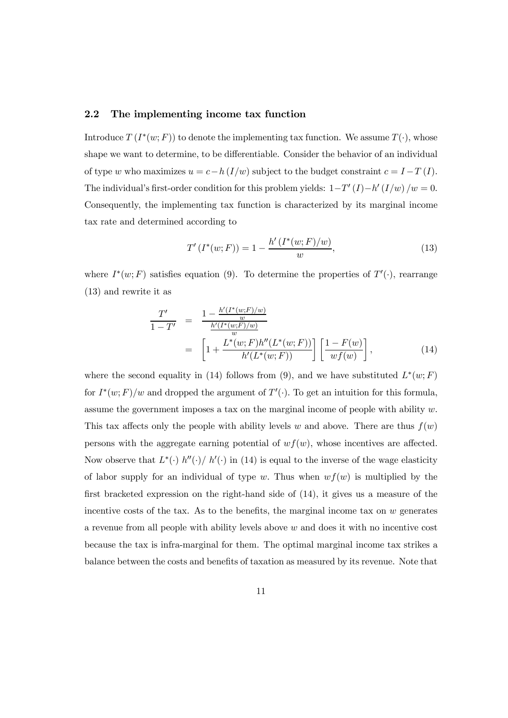#### 2.2 The implementing income tax function

Introduce  $T(I^*(w; F))$  to denote the implementing tax function. We assume  $T(\cdot)$ , whose shape we want to determine, to be differentiable. Consider the behavior of an individual of type w who maximizes  $u = c - h (I/w)$  subject to the budget constraint  $c = I - T (I)$ . The individual's first-order condition for this problem yields:  $1-T'(I)-h'(I/w) /w = 0$ . Consequently, the implementing tax function is characterized by its marginal income tax rate and determined according to

$$
T'(I^*(w;F)) = 1 - \frac{h'(I^*(w;F)/w)}{w},\tag{13}
$$

where  $I^*(w; F)$  satisfies equation (9). To determine the properties of  $T'(\cdot)$ , rearrange (13) and rewrite it as

$$
\frac{T'}{1 - T'} = \frac{1 - \frac{h'(I^*(w;F)/w)}{w}}{\frac{h'(I^*(w;F)/w)}{w}}
$$
\n
$$
= \left[1 + \frac{L^*(w;F)h''(L^*(w;F))}{h'(L^*(w;F))}\right] \left[\frac{1 - F(w)}{w f(w)}\right],
$$
\n(14)

where the second equality in (14) follows from (9), and we have substituted  $L^*(w;F)$ for  $I^*(w; F)/w$  and dropped the argument of  $T'(\cdot)$ . To get an intuition for this formula, assume the government imposes a tax on the marginal income of people with ability  $w$ . This tax affects only the people with ability levels w and above. There are thus  $f(w)$ persons with the aggregate earning potential of  $wf(w)$ , whose incentives are affected. Now observe that  $L^*(\cdot)$   $h''(\cdot)$  /  $h'(\cdot)$  in (14) is equal to the inverse of the wage elasticity of labor supply for an individual of type w. Thus when  $wf(w)$  is multiplied by the first bracketed expression on the right-hand side of (14), it gives us a measure of the incentive costs of the tax. As to the benefits, the marginal income tax on  $w$  generates a revenue from all people with ability levels above w and does it with no incentive cost because the tax is infra-marginal for them. The optimal marginal income tax strikes a balance between the costs and benefits of taxation as measured by its revenue. Note that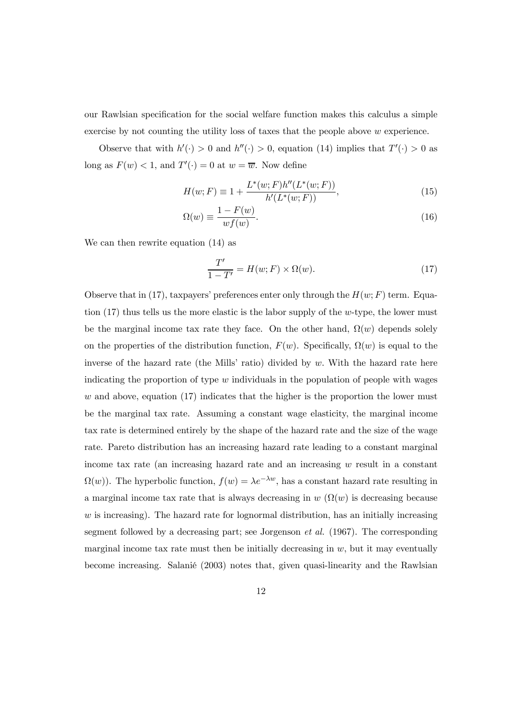our Rawlsian specification for the social welfare function makes this calculus a simple exercise by not counting the utility loss of taxes that the people above w experience.

Observe that with  $h'(\cdot) > 0$  and  $h''(\cdot) > 0$ , equation (14) implies that  $T'(\cdot) > 0$  as long as  $F(w) < 1$ , and  $T'(\cdot) = 0$  at  $w = \overline{w}$ . Now define

$$
H(w; F) \equiv 1 + \frac{L^*(w; F)h''(L^*(w; F))}{h'(L^*(w; F))},\tag{15}
$$

$$
\Omega(w) \equiv \frac{1 - F(w)}{wf(w)}.\tag{16}
$$

We can then rewrite equation (14) as

$$
\frac{T'}{1 - T'} = H(w; F) \times \Omega(w). \tag{17}
$$

Observe that in (17), taxpayers' preferences enter only through the  $H(w; F)$  term. Equation  $(17)$  thus tells us the more elastic is the labor supply of the w-type, the lower must be the marginal income tax rate they face. On the other hand,  $\Omega(w)$  depends solely on the properties of the distribution function,  $F(w)$ . Specifically,  $\Omega(w)$  is equal to the inverse of the hazard rate (the Mills' ratio) divided by w. With the hazard rate here indicating the proportion of type  $w$  individuals in the population of people with wages  $w$  and above, equation  $(17)$  indicates that the higher is the proportion the lower must be the marginal tax rate. Assuming a constant wage elasticity, the marginal income tax rate is determined entirely by the shape of the hazard rate and the size of the wage rate. Pareto distribution has an increasing hazard rate leading to a constant marginal income tax rate (an increasing hazard rate and an increasing w result in a constant  $\Omega(w)$ ). The hyperbolic function,  $f(w) = \lambda e^{-\lambda w}$ , has a constant hazard rate resulting in a marginal income tax rate that is always decreasing in  $w(\Omega(w))$  is decreasing because  $w$  is increasing). The hazard rate for lognormal distribution, has an initially increasing segment followed by a decreasing part; see Jorgenson *et al.* (1967). The corresponding marginal income tax rate must then be initially decreasing in  $w$ , but it may eventually become increasing. Salanié (2003) notes that, given quasi-linearity and the Rawlsian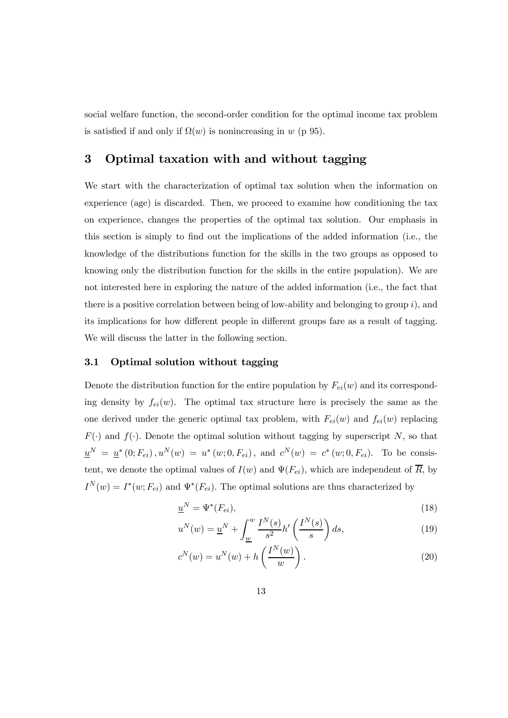social welfare function, the second-order condition for the optimal income tax problem is satisfied if and only if  $\Omega(w)$  is nonincreasing in w (p 95).

### 3 Optimal taxation with and without tagging

We start with the characterization of optimal tax solution when the information on experience (age) is discarded. Then, we proceed to examine how conditioning the tax on experience, changes the properties of the optimal tax solution. Our emphasis in this section is simply to find out the implications of the added information (i.e., the knowledge of the distributions function for the skills in the two groups as opposed to knowing only the distribution function for the skills in the entire population). We are not interested here in exploring the nature of the added information (i.e., the fact that there is a positive correlation between being of low-ability and belonging to group  $i$ ), and its implications for how different people in different groups fare as a result of tagging. We will discuss the latter in the following section.

#### 3.1 Optimal solution without tagging

Denote the distribution function for the entire population by  $F_{ei}(w)$  and its corresponding density by  $f_{ei}(w)$ . The optimal tax structure here is precisely the same as the one derived under the generic optimal tax problem, with  $F_{ei}(w)$  and  $f_{ei}(w)$  replacing  $F(\cdot)$  and  $f(\cdot)$ . Denote the optimal solution without tagging by superscript N, so that  $u^N = u^*(0; F_{ei}), u^N(w) = u^*(w; 0, F_{ei}),$  and  $c^N(w) = c^*(w; 0, F_{ei}).$  To be consistent, we denote the optimal values of  $I(w)$  and  $\Psi(F_{ei})$ , which are independent of  $\overline{R}$ , by  $I^N(w) = I^*(w; F_{ei})$  and  $\Psi^*(F_{ei})$ . The optimal solutions are thus characterized by

$$
\underline{u}^N = \Psi^*(F_{ei}),\tag{18}
$$

$$
u^N(w) = \underline{u}^N + \int_{\underline{w}}^w \frac{I^N(s)}{s^2} h'\left(\frac{I^N(s)}{s}\right) ds,\tag{19}
$$

$$
c^{N}(w) = u^{N}(w) + h\left(\frac{I^{N}(w)}{w}\right). \tag{20}
$$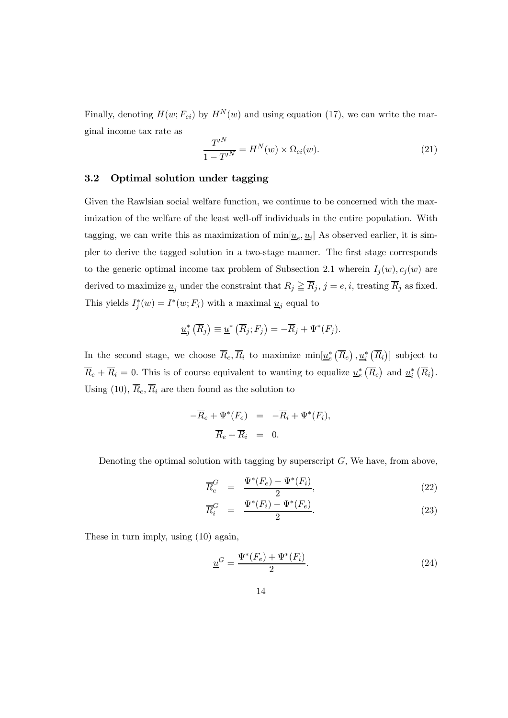Finally, denoting  $H(w; F_{ei})$  by  $H^N(w)$  and using equation (17), we can write the marginal income tax rate as

$$
\frac{T'^N}{1 - T'^N} = H^N(w) \times \Omega_{ei}(w). \tag{21}
$$

#### 3.2 Optimal solution under tagging

Given the Rawlsian social welfare function, we continue to be concerned with the maximization of the welfare of the least well-off individuals in the entire population. With tagging, we can write this as maximization of  $\min[\underline{u}_e, \underline{u}_i]$  As observed earlier, it is simpler to derive the tagged solution in a two-stage manner. The first stage corresponds to the generic optimal income tax problem of Subsection 2.1 wherein  $I_i(w), c_i(w)$  are derived to maximize  $\underline{u}_j$  under the constraint that  $R_j \geq \overline{R}_j$ ,  $j = e, i$ , treating  $\overline{R}_j$  as fixed. This yields  $I_j^*(w) = I^*(w; F_j)$  with a maximal  $\underline{u}_j$  equal to

$$
\underline{u}_j^*\left(\overline{R}_j\right) \equiv \underline{u}^*\left(\overline{R}_j; F_j\right) = -\overline{R}_j + \Psi^*(F_j).
$$

In the second stage, we choose  $\overline{R}_e, \overline{R}_i$  to maximize  $\min[\underline{u}_e^*, (\overline{R}_e), \underline{u}_i^*, (\overline{R}_i)]$  subject to  $\overline{R}_e + \overline{R}_i = 0$ . This is of course equivalent to wanting to equalize  $\underline{u}_e^* (\overline{R}_e)$  and  $\underline{u}_i^* (\overline{R}_i)$ . Using (10),  $\overline{R}_e$ ,  $\overline{R}_i$  are then found as the solution to

$$
-\overline{R}_e + \Psi^*(F_e) = -\overline{R}_i + \Psi^*(F_i),
$$
  

$$
\overline{R}_e + \overline{R}_i = 0.
$$

Denoting the optimal solution with tagging by superscript  $G$ , We have, from above,

$$
\overline{R}_e^G = \frac{\Psi^*(F_e) - \Psi^*(F_i)}{2}, \qquad (22)
$$

$$
\overline{R}_i^G = \frac{\Psi^*(F_i) - \Psi^*(F_e)}{2}.
$$
\n(23)

These in turn imply, using (10) again,

$$
\underline{u}^G = \frac{\Psi^*(F_e) + \Psi^*(F_i)}{2}.
$$
\n(24)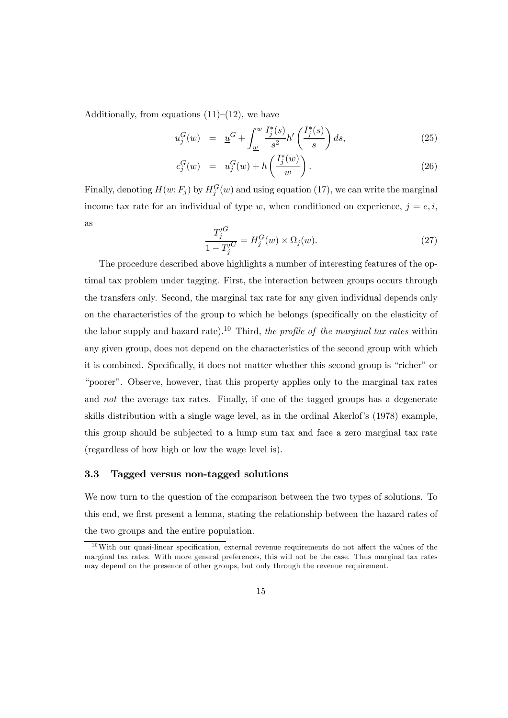Additionally, from equations  $(11)$ – $(12)$ , we have

$$
u_j^G(w) = \underline{u}^G + \int_{\underline{w}}^w \frac{I_j^*(s)}{s^2} h'\left(\frac{I_j^*(s)}{s}\right) ds,\tag{25}
$$

$$
c_j^G(w) = u_j^G(w) + h\left(\frac{I_j^*(w)}{w}\right). \tag{26}
$$

Finally, denoting  $H(w; F_j)$  by  $H_j^G(w)$  and using equation (17), we can write the marginal income tax rate for an individual of type w, when conditioned on experience,  $j = e, i$ , as

$$
\frac{T_j^{\prime G}}{1 - T_j^{\prime G}} = H_j^G(w) \times \Omega_j(w). \tag{27}
$$

The procedure described above highlights a number of interesting features of the optimal tax problem under tagging. First, the interaction between groups occurs through the transfers only. Second, the marginal tax rate for any given individual depends only on the characteristics of the group to which he belongs (specifically on the elasticity of the labor supply and hazard rate).<sup>10</sup> Third, the profile of the marginal tax rates within any given group, does not depend on the characteristics of the second group with which it is combined. Specifically, it does not matter whether this second group is "richer" or "poorer". Observe, however, that this property applies only to the marginal tax rates and not the average tax rates. Finally, if one of the tagged groups has a degenerate skills distribution with a single wage level, as in the ordinal Akerlof's (1978) example, this group should be subjected to a lump sum tax and face a zero marginal tax rate (regardless of how high or low the wage level is).

#### 3.3 Tagged versus non-tagged solutions

We now turn to the question of the comparison between the two types of solutions. To this end, we first present a lemma, stating the relationship between the hazard rates of the two groups and the entire population.

 $10$ With our quasi-linear specification, external revenue requirements do not affect the values of the marginal tax rates. With more general preferences, this will not be the case. Thus marginal tax rates may depend on the presence of other groups, but only through the revenue requirement.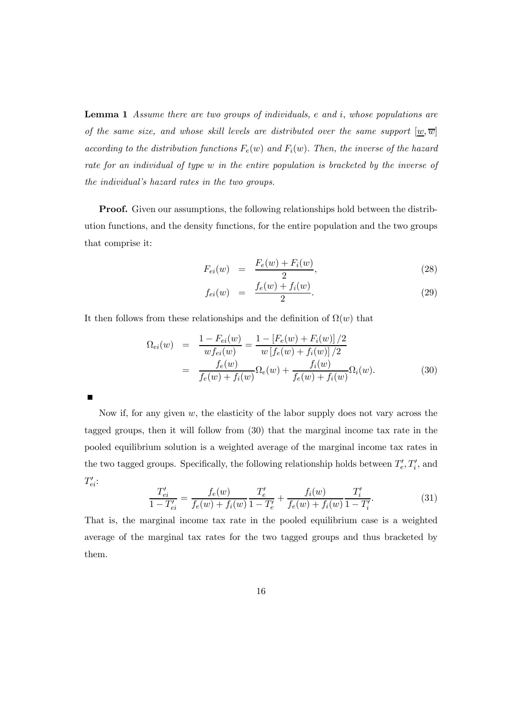Lemma 1 Assume there are two groups of individuals, e and i, whose populations are of the same size, and whose skill levels are distributed over the same support  $[w, \overline{w}]$ according to the distribution functions  $F_e(w)$  and  $F_i(w)$ . Then, the inverse of the hazard rate for an individual of type w in the entire population is bracketed by the inverse of the individual's hazard rates in the two groups.

Proof. Given our assumptions, the following relationships hold between the distribution functions, and the density functions, for the entire population and the two groups that comprise it:

$$
F_{ei}(w) = \frac{F_e(w) + F_i(w)}{2}, \tag{28}
$$

$$
f_{ei}(w) = \frac{f_e(w) + f_i(w)}{2}.
$$
 (29)

It then follows from these relationships and the definition of  $\Omega(w)$  that

$$
\Omega_{ei}(w) = \frac{1 - F_{ei}(w)}{w f_{ei}(w)} = \frac{1 - [F_e(w) + F_i(w)]/2}{w [f_e(w) + f_i(w)]/2}
$$

$$
= \frac{f_e(w)}{f_e(w) + f_i(w)} \Omega_e(w) + \frac{f_i(w)}{f_e(w) + f_i(w)} \Omega_i(w). \tag{30}
$$

Now if, for any given w, the elasticity of the labor supply does not vary across the tagged groups, then it will follow from (30) that the marginal income tax rate in the pooled equilibrium solution is a weighted average of the marginal income tax rates in the two tagged groups. Specifically, the following relationship holds between  $T'_e, T'_i$ , and  $T'_{ei}$ :

$$
\frac{T'_{ei}}{1 - T'_{ei}} = \frac{f_e(w)}{f_e(w) + f_i(w)} \frac{T'_e}{1 - T'_e} + \frac{f_i(w)}{f_e(w) + f_i(w)} \frac{T'_i}{1 - T'_i}.
$$
\n(31)

That is, the marginal income tax rate in the pooled equilibrium case is a weighted average of the marginal tax rates for the two tagged groups and thus bracketed by them.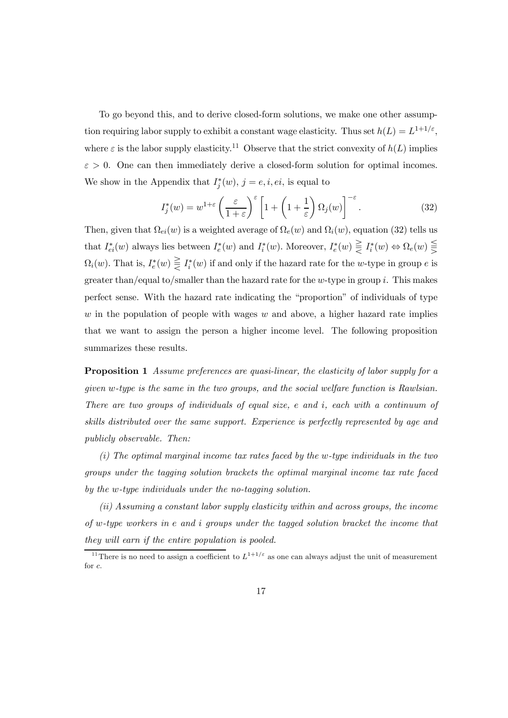To go beyond this, and to derive closed-form solutions, we make one other assumption requiring labor supply to exhibit a constant wage elasticity. Thus set  $h(L) = L^{1+1/\varepsilon}$ , where  $\varepsilon$  is the labor supply elasticity.<sup>11</sup> Observe that the strict convexity of  $h(L)$  implies  $\varepsilon > 0$ . One can then immediately derive a closed-form solution for optimal incomes. We show in the Appendix that  $I_j^*(w)$ ,  $j = e, i, ei$ , is equal to

$$
I_j^*(w) = w^{1+\varepsilon} \left(\frac{\varepsilon}{1+\varepsilon}\right)^{\varepsilon} \left[1 + \left(1 + \frac{1}{\varepsilon}\right) \Omega_j(w)\right]^{-\varepsilon}.
$$
 (32)

Then, given that  $\Omega_{ei}(w)$  is a weighted average of  $\Omega_e(w)$  and  $\Omega_i(w)$ , equation (32) tells us that  $I_{ei}^*(w)$  always lies between  $I_e^*(w)$  and  $I_i^*(w)$ . Moreover,  $I_e^*(w) \in \mathcal{I}_i^*(w) \Leftrightarrow \Omega_e(w) \in \mathcal{I}_i^*(w)$  $\Omega_i(w)$ . That is,  $I_e^*(w) \in \mathcal{I}_i^*(w)$  if and only if the hazard rate for the w-type in group e is greater than/equal to/smaller than the hazard rate for the w-type in group  $i$ . This makes perfect sense. With the hazard rate indicating the "proportion" of individuals of type w in the population of people with wages  $w$  and above, a higher hazard rate implies that we want to assign the person a higher income level. The following proposition summarizes these results.

**Proposition 1** Assume preferences are quasi-linear, the elasticity of labor supply for a given w-type is the same in the two groups, and the social welfare function is Rawlsian. There are two groups of individuals of equal size, e and i, each with a continuum of skills distributed over the same support. Experience is perfectly represented by age and publicly observable. Then:

(i) The optimal marginal income tax rates faced by the w-type individuals in the two groups under the tagging solution brackets the optimal marginal income tax rate faced by the w-type individuals under the no-tagging solution.

(ii) Assuming a constant labor supply elasticity within and across groups, the income of w-type workers in e and i groups under the tagged solution bracket the income that they will earn if the entire population is pooled.

<sup>&</sup>lt;sup>11</sup>There is no need to assign a coefficient to  $L^{1+1/\varepsilon}$  as one can always adjust the unit of measurement for c.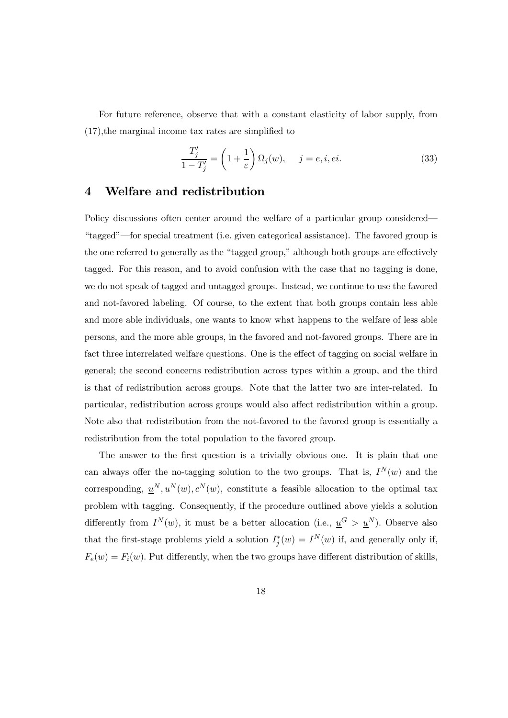For future reference, observe that with a constant elasticity of labor supply, from (17),the marginal income tax rates are simplified to

$$
\frac{T_j'}{1 - T_j'} = \left(1 + \frac{1}{\varepsilon}\right) \Omega_j(w), \quad j = e, i, ei.
$$
\n(33)

### 4 Welfare and redistribution

Policy discussions often center around the welfare of a particular group considered– "tagged"–for special treatment (i.e. given categorical assistance). The favored group is the one referred to generally as the "tagged group," although both groups are effectively tagged. For this reason, and to avoid confusion with the case that no tagging is done, we do not speak of tagged and untagged groups. Instead, we continue to use the favored and not-favored labeling. Of course, to the extent that both groups contain less able and more able individuals, one wants to know what happens to the welfare of less able persons, and the more able groups, in the favored and not-favored groups. There are in fact three interrelated welfare questions. One is the effect of tagging on social welfare in general; the second concerns redistribution across types within a group, and the third is that of redistribution across groups. Note that the latter two are inter-related. In particular, redistribution across groups would also affect redistribution within a group. Note also that redistribution from the not-favored to the favored group is essentially a redistribution from the total population to the favored group.

The answer to the first question is a trivially obvious one. It is plain that one can always offer the no-tagging solution to the two groups. That is,  $I^N(w)$  and the corresponding,  $\underline{u}^N, u^N(w), c^N(w)$ , constitute a feasible allocation to the optimal tax problem with tagging. Consequently, if the procedure outlined above yields a solution differently from  $I^N(w)$ , it must be a better allocation (i.e.,  $\underline{u}^G > \underline{u}^N$ ). Observe also that the first-stage problems yield a solution  $I_j^*(w) = I^N(w)$  if, and generally only if,  $F_e(w) = F_i(w)$ . Put differently, when the two groups have different distribution of skills.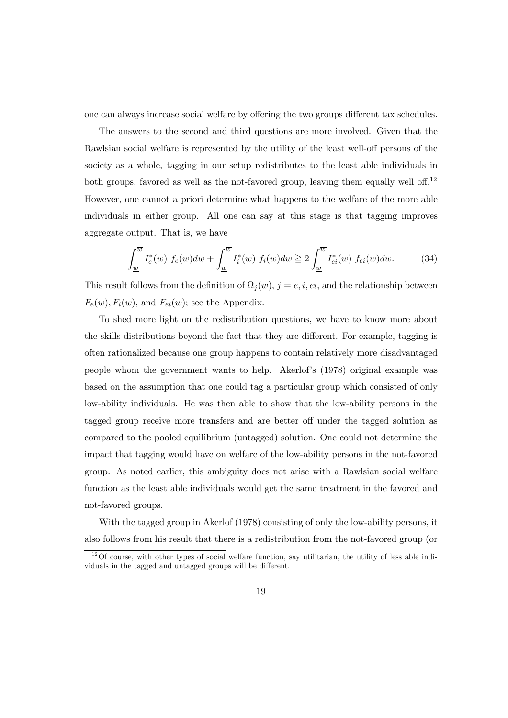one can always increase social welfare by offering the two groups different tax schedules.

The answers to the second and third questions are more involved. Given that the Rawlsian social welfare is represented by the utility of the least well-off persons of the society as a whole, tagging in our setup redistributes to the least able individuals in both groups, favored as well as the not-favored group, leaving them equally well off.<sup>12</sup> However, one cannot a priori determine what happens to the welfare of the more able individuals in either group. All one can say at this stage is that tagging improves aggregate output. That is, we have

$$
\int_{\underline{w}}^{\overline{w}} I_e^*(w) f_e(w) dw + \int_{\underline{w}}^{\overline{w}} I_i^*(w) f_i(w) dw \ge 2 \int_{\underline{w}}^{\overline{w}} I_{ei}^*(w) f_{ei}(w) dw.
$$
 (34)

This result follows from the definition of  $\Omega_i(w)$ ,  $j = e, i, ei$ , and the relationship between  $F_e(w)$ ,  $F_i(w)$ , and  $F_{ei}(w)$ ; see the Appendix.

To shed more light on the redistribution questions, we have to know more about the skills distributions beyond the fact that they are different. For example, tagging is often rationalized because one group happens to contain relatively more disadvantaged people whom the government wants to help. Akerlof's (1978) original example was based on the assumption that one could tag a particular group which consisted of only low-ability individuals. He was then able to show that the low-ability persons in the tagged group receive more transfers and are better off under the tagged solution as compared to the pooled equilibrium (untagged) solution. One could not determine the impact that tagging would have on welfare of the low-ability persons in the not-favored group. As noted earlier, this ambiguity does not arise with a Rawlsian social welfare function as the least able individuals would get the same treatment in the favored and not-favored groups.

With the tagged group in Akerlof (1978) consisting of only the low-ability persons, it also follows from his result that there is a redistribution from the not-favored group (or

 $12$ Of course, with other types of social welfare function, say utilitarian, the utility of less able individuals in the tagged and untagged groups will be different.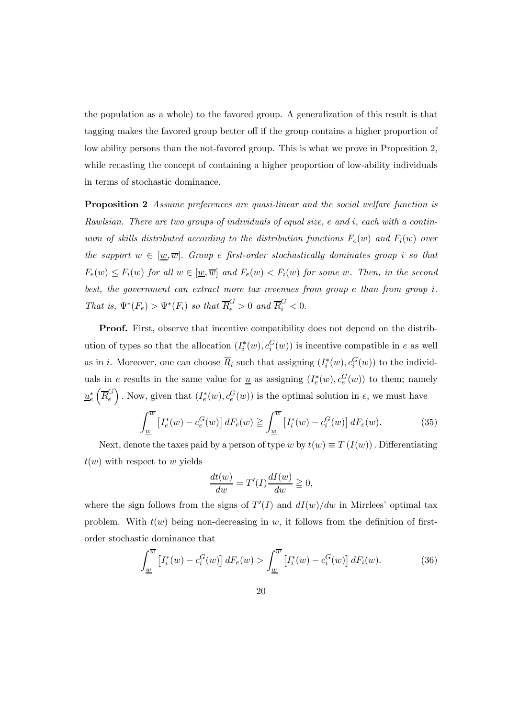the population as a whole) to the favored group. A generalization of this result is that tagging makes the favored group better off if the group contains a higher proportion of low ability persons than the not-favored group. This is what we prove in Proposition 2, while recasting the concept of containing a higher proportion of low-ability individuals in terms of stochastic dominance.

**Proposition 2** Assume preferences are quasi-linear and the social welfare function is Rawlsian. There are two groups of individuals of equal size, e and i, each with a continuum of skills distributed according to the distribution functions  $F_e(w)$  and  $F_i(w)$  over the support  $w \in [\underline{w}, \overline{w}]$ . Group e first-order stochastically dominates group i so that  $F_e(w) \leq F_i(w)$  for all  $w \in [\underline{w}, \overline{w}]$  and  $F_e(w) < F_i(w)$  for some w. Then, in the second best, the government can extract more tax revenues from group  $e$  than from group  $i$ . That is,  $\Psi^*(F_e) > \Psi^*(F_i)$  so that  $\overline{R}_e^G > 0$  and  $\overline{R}_i^G < 0$ .

Proof. First, observe that incentive compatibility does not depend on the distribution of types so that the allocation  $(I_i^*(w), c_i^G(w))$  is incentive compatible in e as well as in *i*. Moreover, one can choose  $\overline{R}_i$  such that assigning  $(I_i^*(w), c_i^G(w))$  to the individuals in e results in the same value for <u>u</u> as assigning  $(I_e^*(w), c_e^G(w))$  to them; namely  $u_{e}^{*}(\overline{R}_{e}^{G})$ . Now, given that  $(I_{e}^{*}(w), c_{e}^{G}(w))$  is the optimal solution in e, we must have

$$
\int_{\underline{w}}^{\overline{w}} \left[ I_e^*(w) - c_e^G(w) \right] dF_e(w) \geqq \int_{\underline{w}}^{\overline{w}} \left[ I_i^*(w) - c_i^G(w) \right] dF_e(w). \tag{35}
$$

Next, denote the taxes paid by a person of type w by  $t(w) \equiv T(I(w))$ . Differentiating  $t(w)$  with respect to w yields

$$
\frac{dt(w)}{dw} = T'(I)\frac{dI(w)}{dw} \geqq 0,
$$

where the sign follows from the signs of  $T'(I)$  and  $dI(w)/dw$  in Mirrlees' optimal tax problem. With  $t(w)$  being non-decreasing in w, it follows from the definition of firstorder stochastic dominance that

$$
\int_{\underline{w}}^{\overline{w}} \left[ I_i^*(w) - c_i^G(w) \right] dF_e(w) > \int_{\underline{w}}^{\overline{w}} \left[ I_i^*(w) - c_i^G(w) \right] dF_i(w). \tag{36}
$$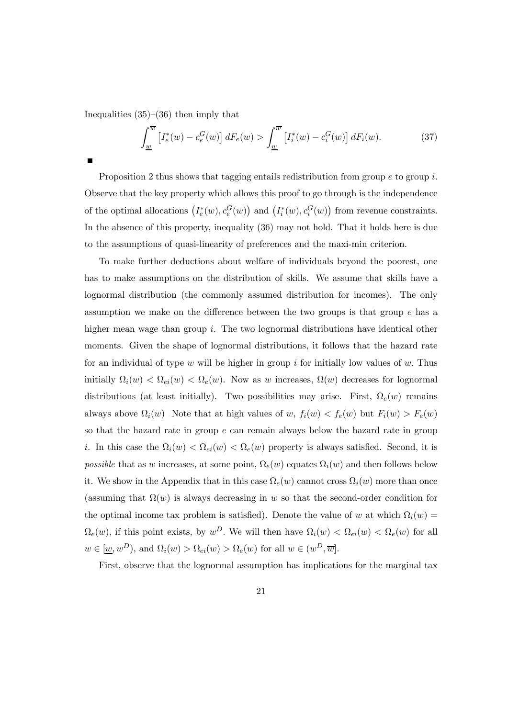Inequalities  $(35)$ – $(36)$  then imply that

$$
\int_{\underline{w}}^{\overline{w}} \left[ I_e^*(w) - c_e^G(w) \right] dF_e(w) > \int_{\underline{w}}^{\overline{w}} \left[ I_i^*(w) - c_i^G(w) \right] dF_i(w). \tag{37}
$$

Proposition 2 thus shows that tagging entails redistribution from group  $e$  to group i. Observe that the key property which allows this proof to go through is the independence of the optimal allocations  $(I_e^*(w), c_e^G(w))$  and  $(I_i^*(w), c_i^G(w))$  from revenue constraints. In the absence of this property, inequality (36) may not hold. That it holds here is due to the assumptions of quasi-linearity of preferences and the maxi-min criterion.

To make further deductions about welfare of individuals beyond the poorest, one has to make assumptions on the distribution of skills. We assume that skills have a lognormal distribution (the commonly assumed distribution for incomes). The only assumption we make on the difference between the two groups is that group e has a higher mean wage than group i. The two lognormal distributions have identical other moments. Given the shape of lognormal distributions, it follows that the hazard rate for an individual of type w will be higher in group i for initially low values of w. Thus initially  $\Omega_i(w) < \Omega_{ei}(w) < \Omega_e(w)$ . Now as w increases,  $\Omega(w)$  decreases for lognormal distributions (at least initially). Two possibilities may arise. First,  $\Omega_e(w)$  remains always above  $\Omega_i(w)$  Note that at high values of w,  $f_i(w) < f_e(w)$  but  $F_i(w) > F_e(w)$ so that the hazard rate in group  $e$  can remain always below the hazard rate in group i. In this case the  $\Omega_i(w) < \Omega_{ei}(w) < \Omega_e(w)$  property is always satisfied. Second, it is possible that as w increases, at some point,  $\Omega_e(w)$  equates  $\Omega_i(w)$  and then follows below it. We show in the Appendix that in this case  $\Omega_e(w)$  cannot cross  $\Omega_i(w)$  more than once (assuming that  $\Omega(w)$  is always decreasing in w so that the second-order condition for the optimal income tax problem is satisfied). Denote the value of w at which  $\Omega_i(w)$  $\Omega_e(w)$ , if this point exists, by  $w^D$ . We will then have  $\Omega_i(w) < \Omega_{ei}(w) < \Omega_e(w)$  for all  $w \in [\underline{w}, w^D)$ , and  $\Omega_i(w) > \Omega_{ei}(w) > \Omega_e(w)$  for all  $w \in (w^D, \overline{w}]$ .

First, observe that the lognormal assumption has implications for the marginal tax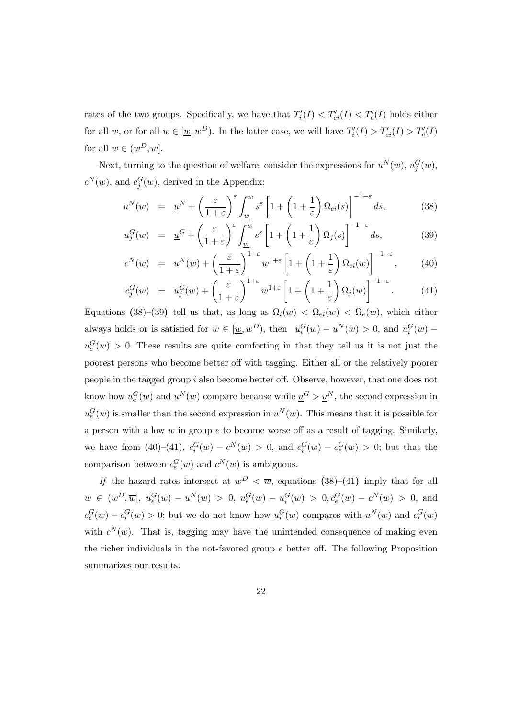rates of the two groups. Specifically, we have that  $T_i'(I) < T'_{ei}(I) < T'_e(I)$  holds either for all  $w$ , or for all  $w \in [\underline{w}, w^D)$ . In the latter case, we will have  $T_i'(I) > T'_{ei}(I) > T'_e(I)$ for all  $w \in (w^D, \overline{w}]$ .

Next, turning to the question of welfare, consider the expressions for  $u^N(w)$ ,  $u_j^G(w)$ ,  $c^N(w)$ , and  $c_j^G(w)$ , derived in the Appendix:

$$
u^N(w) = \underline{u}^N + \left(\frac{\varepsilon}{1+\varepsilon}\right)^{\varepsilon} \int_{\underline{w}}^w s^{\varepsilon} \left[1 + \left(1 + \frac{1}{\varepsilon}\right) \Omega_{ei}(s)\right]^{-1-\varepsilon} ds, \tag{38}
$$

$$
u_j^G(w) = \underline{u}^G + \left(\frac{\varepsilon}{1+\varepsilon}\right)^{\varepsilon} \int_{\underline{w}}^w s^{\varepsilon} \left[1 + \left(1 + \frac{1}{\varepsilon}\right) \Omega_j(s)\right]^{-1-\varepsilon} ds,\tag{39}
$$

$$
c^{N}(w) = u^{N}(w) + \left(\frac{\varepsilon}{1+\varepsilon}\right)^{1+\varepsilon} w^{1+\varepsilon} \left[1 + \left(1 + \frac{1}{\varepsilon}\right) \Omega_{ei}(w)\right]^{-1-\varepsilon}, \quad (40)
$$

$$
c_j^G(w) = u_j^G(w) + \left(\frac{\varepsilon}{1+\varepsilon}\right)^{1+\varepsilon} w^{1+\varepsilon} \left[1 + \left(1 + \frac{1}{\varepsilon}\right) \Omega_j(w)\right]^{-1-\varepsilon}.
$$
 (41)

Equations (38)–(39) tell us that, as long as  $\Omega_i(w) < \Omega_{ei}(w) < \Omega_e(w)$ , which either always holds or is satisfied for  $w \in [\underline{w}, w^D)$ , then  $u_i^G(w) - u^N(w) > 0$ , and  $u_i^G(w)$  $u_e^G(w) > 0$ . These results are quite comforting in that they tell us it is not just the poorest persons who become better off with tagging. Either all or the relatively poorer people in the tagged group i also become better off. Observe, however, that one does not know how  $u_e^G(w)$  and  $u^N(w)$  compare because while  $\underline{u}^G > \underline{u}^N$ , the second expression in  $u_e^G(w)$  is smaller than the second expression in  $u^N(w)$ . This means that it is possible for a person with a low  $w$  in group  $e$  to become worse off as a result of tagging. Similarly, we have from (40)–(41),  $c_i^G(w) - c^N(w) > 0$ , and  $c_i^G(w) - c_e^G(w) > 0$ ; but that the comparison between  $c_e^G(w)$  and  $c^N(w)$  is ambiguous.

If the hazard rates intersect at  $w^D < \overline{w}$ , equations (38)–(41) imply that for all  $w \in (w^D, \overline{w}], u_e^G(w) - u^N(w) > 0, u_e^G(w) - u_i^G(w) > 0, c_e^G(w) - c^N(w) > 0, \text{ and}$  $c_e^G(w) - c_i^G(w) > 0$ ; but we do not know how  $u_i^G(w)$  compares with  $u^N(w)$  and  $c_i^G(w)$ with  $c^N(w)$ . That is, tagging may have the unintended consequence of making even the richer individuals in the not-favored group  $e$  better off. The following Proposition summarizes our results.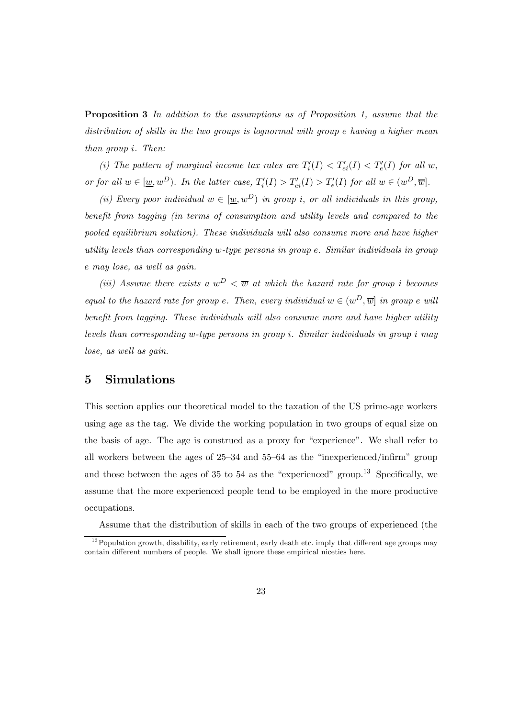**Proposition 3** In addition to the assumptions as of Proposition 1, assume that the distribution of skills in the two groups is lognormal with group e having a higher mean than group i. Then:

(i) The pattern of marginal income tax rates are  $T_i'(I) < T'_{ei}(I) < T'_e(I)$  for all w, or for all  $w \in [\underline{w}, w^D)$ . In the latter case,  $T_i'(I) > T'_{ei}(I) > T'_e(I)$  for all  $w \in (w^D, \overline{w}]$ .

(ii) Every poor individual  $w \in [\underline{w}, w^D)$  in group i, or all individuals in this group, benefit from tagging (in terms of consumption and utility levels and compared to the pooled equilibrium solution). These individuals will also consume more and have higher utility levels than corresponding w-type persons in group e. Similar individuals in group e may lose, as well as gain.

(iii) Assume there exists a  $w^D < \overline{w}$  at which the hazard rate for group i becomes equal to the hazard rate for group e. Then, every individual  $w \in (w^D, \overline{w}]$  in group e will benefit from tagging. These individuals will also consume more and have higher utility levels than corresponding w-type persons in group i. Similar individuals in group i may lose, as well as gain.

### 5 Simulations

This section applies our theoretical model to the taxation of the US prime-age workers using age as the tag. We divide the working population in two groups of equal size on the basis of age. The age is construed as a proxy for "experience". We shall refer to all workers between the ages of 25—34 and 55—64 as the "inexperienced/infirm" group and those between the ages of 35 to 54 as the "experienced" group.<sup>13</sup> Specifically, we assume that the more experienced people tend to be employed in the more productive occupations.

Assume that the distribution of skills in each of the two groups of experienced (the

 $13$  Population growth, disability, early retirement, early death etc. imply that different age groups may contain different numbers of people. We shall ignore these empirical niceties here.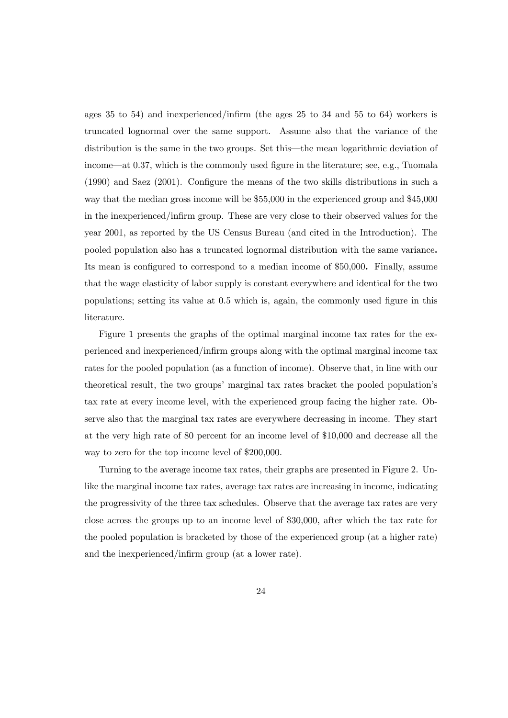ages 35 to 54) and inexperienced/infirm (the ages 25 to 34 and 55 to 64) workers is truncated lognormal over the same support. Assume also that the variance of the distribution is the same in the two groups. Set this–the mean logarithmic deviation of income–at 0.37, which is the commonly used figure in the literature; see, e.g., Tuomala (1990) and Saez (2001). Configure the means of the two skills distributions in such a way that the median gross income will be \$55,000 in the experienced group and \$45,000 in the inexperienced/infirm group. These are very close to their observed values for the year 2001, as reported by the US Census Bureau (and cited in the Introduction). The pooled population also has a truncated lognormal distribution with the same variance. Its mean is configured to correspond to a median income of \$50,000. Finally, assume that the wage elasticity of labor supply is constant everywhere and identical for the two populations; setting its value at 0.5 which is, again, the commonly used figure in this literature.

Figure 1 presents the graphs of the optimal marginal income tax rates for the experienced and inexperienced/infirm groups along with the optimal marginal income tax rates for the pooled population (as a function of income). Observe that, in line with our theoretical result, the two groups' marginal tax rates bracket the pooled population's tax rate at every income level, with the experienced group facing the higher rate. Observe also that the marginal tax rates are everywhere decreasing in income. They start at the very high rate of 80 percent for an income level of \$10,000 and decrease all the way to zero for the top income level of \$200,000.

Turning to the average income tax rates, their graphs are presented in Figure 2. Unlike the marginal income tax rates, average tax rates are increasing in income, indicating the progressivity of the three tax schedules. Observe that the average tax rates are very close across the groups up to an income level of \$30,000, after which the tax rate for the pooled population is bracketed by those of the experienced group (at a higher rate) and the inexperienced/infirm group (at a lower rate).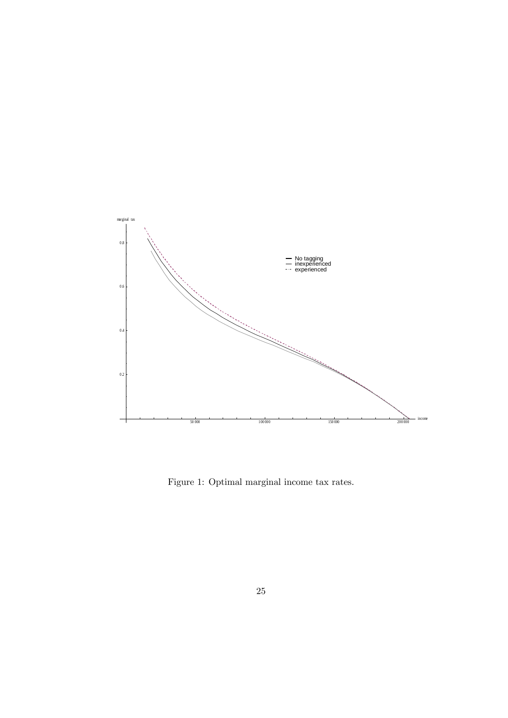

Figure 1: Optimal marginal income tax rates.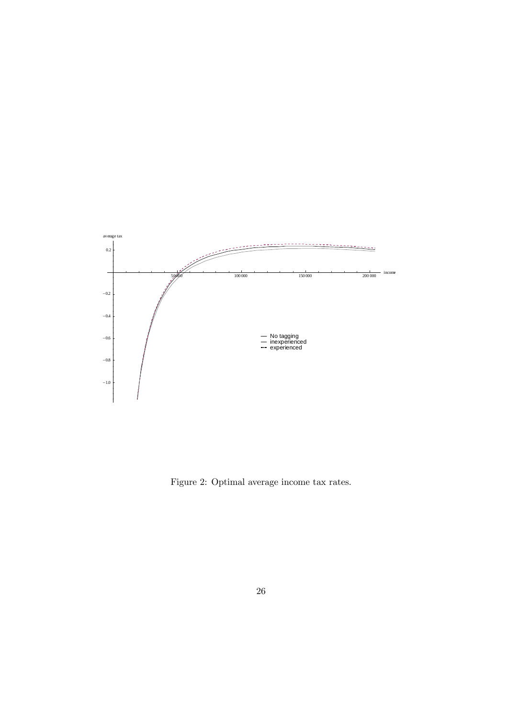

Figure 2: Optimal average income tax rates.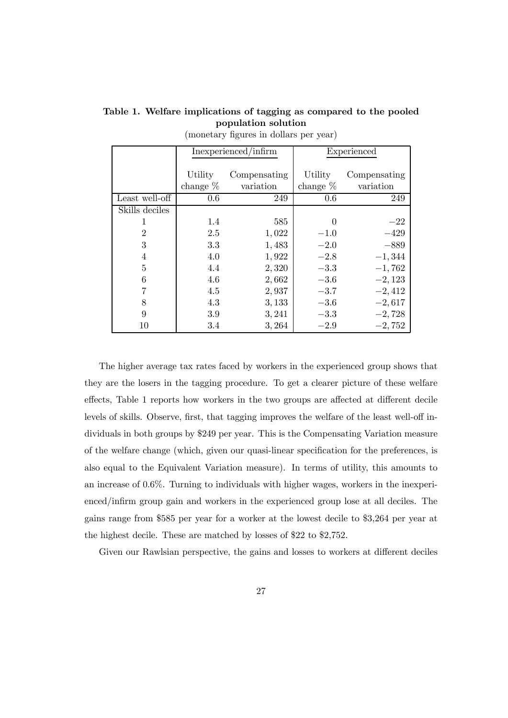|                | Inexperienced/infirm |              | Experienced |              |
|----------------|----------------------|--------------|-------------|--------------|
|                |                      |              |             |              |
|                | Utility              | Compensating | Utility     | Compensating |
|                | change $%$           | variation    | change $%$  | variation    |
| Least well-off | 0.6                  | 249          | 0.6         | 249          |
| Skills deciles |                      |              |             |              |
|                | 1.4                  | 585          | 0           | $-22$        |
| $\overline{2}$ | 2.5                  | 1,022        | $-1.0$      | $-429$       |
| 3              | 3.3                  | 1,483        | $-2.0$      | $-889$       |
| $\overline{4}$ | 4.0                  | 1,922        | $-2.8$      | $-1,344$     |
| 5              | 4.4                  | 2,320        | $-3.3$      | $-1,762$     |
| 6              | 4.6                  | 2,662        | $-3.6$      | $-2,123$     |
| 7              | 4.5                  | 2,937        | $-3.7$      | $-2,412$     |
| 8              | 4.3                  | 3,133        | $-3.6$      | $-2,617$     |
| 9              | 3.9                  | 3,241        | $-3.3$      | $-2,728$     |
| 10             | 3.4                  | 3,264        | $-2.9$      | $-2,752$     |

Table 1. Welfare implications of tagging as compared to the pooled population solution (monetary figures in dollars per year)

The higher average tax rates faced by workers in the experienced group shows that they are the losers in the tagging procedure. To get a clearer picture of these welfare effects, Table 1 reports how workers in the two groups are affected at different decile levels of skills. Observe, first, that tagging improves the welfare of the least well-off individuals in both groups by \$249 per year. This is the Compensating Variation measure of the welfare change (which, given our quasi-linear specification for the preferences, is also equal to the Equivalent Variation measure). In terms of utility, this amounts to an increase of 0.6%. Turning to individuals with higher wages, workers in the inexperienced/infirm group gain and workers in the experienced group lose at all deciles. The gains range from \$585 per year for a worker at the lowest decile to \$3,264 per year at the highest decile. These are matched by losses of \$22 to \$2,752.

Given our Rawlsian perspective, the gains and losses to workers at different deciles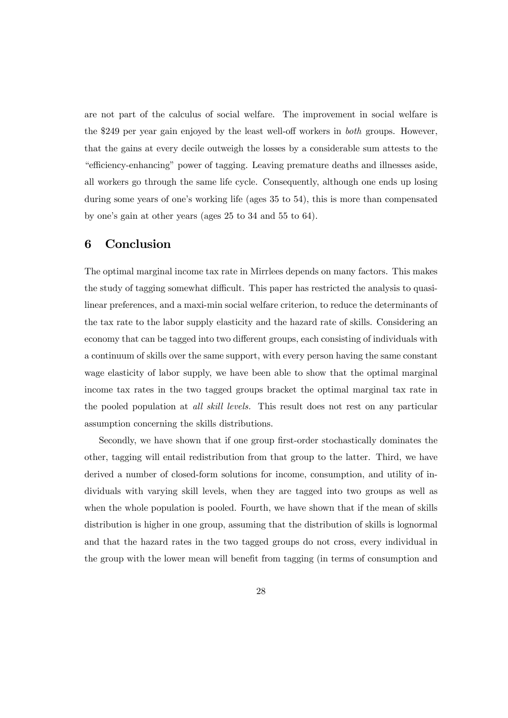are not part of the calculus of social welfare. The improvement in social welfare is the \$249 per year gain enjoyed by the least well-off workers in both groups. However, that the gains at every decile outweigh the losses by a considerable sum attests to the "efficiency-enhancing" power of tagging. Leaving premature deaths and illnesses aside, all workers go through the same life cycle. Consequently, although one ends up losing during some years of one's working life (ages 35 to 54), this is more than compensated by one's gain at other years (ages 25 to 34 and 55 to 64).

### 6 Conclusion

The optimal marginal income tax rate in Mirrlees depends on many factors. This makes the study of tagging somewhat difficult. This paper has restricted the analysis to quasilinear preferences, and a maxi-min social welfare criterion, to reduce the determinants of the tax rate to the labor supply elasticity and the hazard rate of skills. Considering an economy that can be tagged into two different groups, each consisting of individuals with a continuum of skills over the same support, with every person having the same constant wage elasticity of labor supply, we have been able to show that the optimal marginal income tax rates in the two tagged groups bracket the optimal marginal tax rate in the pooled population at all skill levels. This result does not rest on any particular assumption concerning the skills distributions.

Secondly, we have shown that if one group first-order stochastically dominates the other, tagging will entail redistribution from that group to the latter. Third, we have derived a number of closed-form solutions for income, consumption, and utility of individuals with varying skill levels, when they are tagged into two groups as well as when the whole population is pooled. Fourth, we have shown that if the mean of skills distribution is higher in one group, assuming that the distribution of skills is lognormal and that the hazard rates in the two tagged groups do not cross, every individual in the group with the lower mean will benefit from tagging (in terms of consumption and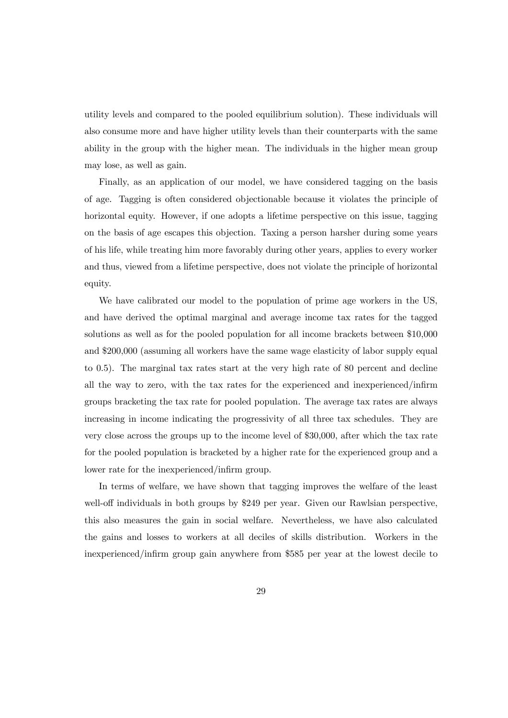utility levels and compared to the pooled equilibrium solution). These individuals will also consume more and have higher utility levels than their counterparts with the same ability in the group with the higher mean. The individuals in the higher mean group may lose, as well as gain.

Finally, as an application of our model, we have considered tagging on the basis of age. Tagging is often considered objectionable because it violates the principle of horizontal equity. However, if one adopts a lifetime perspective on this issue, tagging on the basis of age escapes this objection. Taxing a person harsher during some years of his life, while treating him more favorably during other years, applies to every worker and thus, viewed from a lifetime perspective, does not violate the principle of horizontal equity.

We have calibrated our model to the population of prime age workers in the US, and have derived the optimal marginal and average income tax rates for the tagged solutions as well as for the pooled population for all income brackets between \$10,000 and \$200,000 (assuming all workers have the same wage elasticity of labor supply equal to 0.5). The marginal tax rates start at the very high rate of 80 percent and decline all the way to zero, with the tax rates for the experienced and inexperienced/infirm groups bracketing the tax rate for pooled population. The average tax rates are always increasing in income indicating the progressivity of all three tax schedules. They are very close across the groups up to the income level of \$30,000, after which the tax rate for the pooled population is bracketed by a higher rate for the experienced group and a lower rate for the inexperienced/infirm group.

In terms of welfare, we have shown that tagging improves the welfare of the least well-off individuals in both groups by \$249 per year. Given our Rawlsian perspective, this also measures the gain in social welfare. Nevertheless, we have also calculated the gains and losses to workers at all deciles of skills distribution. Workers in the inexperienced/infirm group gain anywhere from \$585 per year at the lowest decile to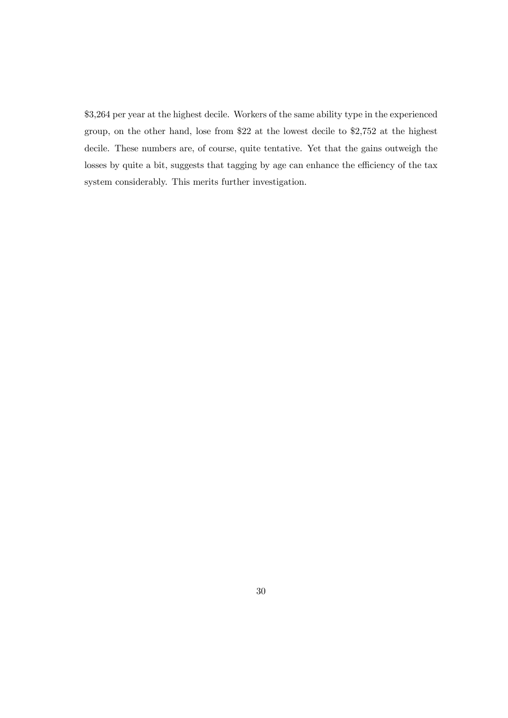\$3,264 per year at the highest decile. Workers of the same ability type in the experienced group, on the other hand, lose from \$22 at the lowest decile to \$2,752 at the highest decile. These numbers are, of course, quite tentative. Yet that the gains outweigh the losses by quite a bit, suggests that tagging by age can enhance the efficiency of the tax system considerably. This merits further investigation.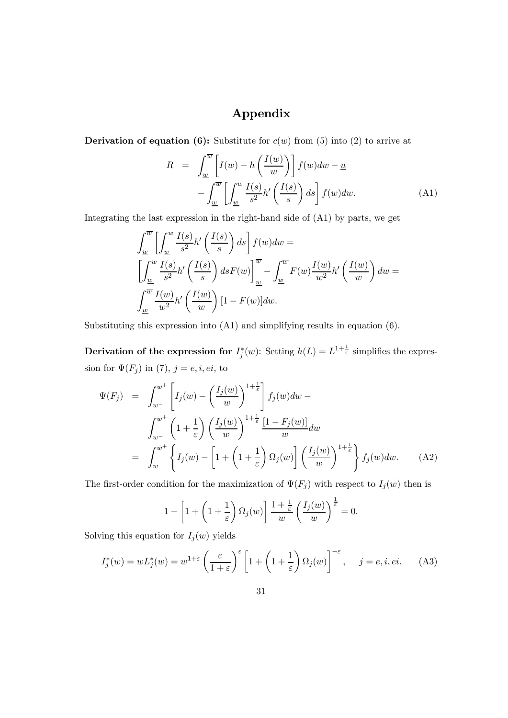## Appendix

**Derivation of equation (6):** Substitute for  $c(w)$  from (5) into (2) to arrive at

$$
R = \int_{\underline{w}}^{\overline{w}} \left[ I(w) - h\left(\frac{I(w)}{w}\right) \right] f(w) dw - \underline{u}
$$

$$
- \int_{\underline{w}}^{\overline{w}} \left[ \int_{\underline{w}}^{w} \frac{I(s)}{s^2} h'\left(\frac{I(s)}{s}\right) ds \right] f(w) dw. \tag{A1}
$$

Integrating the last expression in the right-hand side of (A1) by parts, we get

$$
\int_{\underline{w}}^{\overline{w}} \left[ \int_{\underline{w}}^{w} \frac{I(s)}{s^2} h' \left( \frac{I(s)}{s} \right) ds \right] f(w) dw =
$$
\n
$$
\left[ \int_{\underline{w}}^{w} \frac{I(s)}{s^2} h' \left( \frac{I(s)}{s} \right) ds F(w) \right]_{\underline{w}}^{\overline{w}} - \int_{\underline{w}}^{\overline{w}} F(w) \frac{I(w)}{w^2} h' \left( \frac{I(w)}{w} \right) dw =
$$
\n
$$
\int_{\underline{w}}^{\overline{w}} \frac{I(w)}{w^2} h' \left( \frac{I(w)}{w} \right) [1 - F(w)] dw.
$$

Substituting this expression into (A1) and simplifying results in equation (6).

Derivation of the expression for  $I_j^*(w)$ : Setting  $h(L) = L^{1+\frac{1}{\varepsilon}}$  simplifies the expression for  $\Psi(F_j)$  in (7),  $j = e, i, ei$ , to

$$
\Psi(F_j) = \int_{w^-}^{w^+} \left[ I_j(w) - \left( \frac{I_j(w)}{w} \right)^{1 + \frac{1}{\varepsilon}} \right] f_j(w) dw -
$$
\n
$$
\int_{w^-}^{w^+} \left( 1 + \frac{1}{\varepsilon} \right) \left( \frac{I_j(w)}{w} \right)^{1 + \frac{1}{\varepsilon}} \frac{\left[ 1 - F_j(w) \right]}{w} dw
$$
\n
$$
= \int_{w^-}^{w^+} \left\{ I_j(w) - \left[ 1 + \left( 1 + \frac{1}{\varepsilon} \right) \Omega_j(w) \right] \left( \frac{I_j(w)}{w} \right)^{1 + \frac{1}{\varepsilon}} \right\} f_j(w) dw. \tag{A2}
$$

The first-order condition for the maximization of  $\Psi(F_j)$  with respect to  $I_j(w)$  then is

$$
1 - \left[1 + \left(1 + \frac{1}{\varepsilon}\right) \Omega_j(w)\right] \frac{1 + \frac{1}{\varepsilon}}{w} \left(\frac{I_j(w)}{w}\right)^{\frac{1}{\varepsilon}} = 0.
$$

Solving this equation for  $I_j(w)$  yields

$$
I_j^*(w) = w L_j^*(w) = w^{1+\varepsilon} \left(\frac{\varepsilon}{1+\varepsilon}\right) \left[1 + \left(1 + \frac{1}{\varepsilon}\right) \Omega_j(w)\right]^{-\varepsilon}, \quad j = e, i, ei. \tag{A3}
$$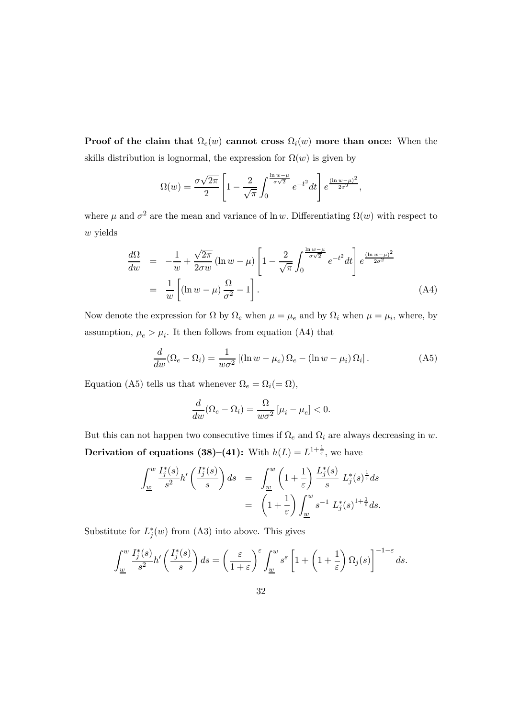**Proof of the claim that**  $\Omega_e(w)$  cannot cross  $\Omega_i(w)$  more than once: When the skills distribution is lognormal, the expression for  $\Omega(w)$  is given by

$$
\Omega(w) = \frac{\sigma\sqrt{2\pi}}{2} \left[ 1 - \frac{2}{\sqrt{\pi}} \int_0^{\frac{\ln w - \mu}{\sigma\sqrt{2}}} e^{-t^2} dt \right] e^{\frac{(\ln w - \mu)^2}{2\sigma^2}},
$$

where  $\mu$  and  $\sigma^2$  are the mean and variance of ln w. Differentiating  $\Omega(w)$  with respect to w yields

$$
\frac{d\Omega}{dw} = -\frac{1}{w} + \frac{\sqrt{2\pi}}{2\sigma w} (\ln w - \mu) \left[ 1 - \frac{2}{\sqrt{\pi}} \int_0^{\frac{\ln w - \mu}{\sigma \sqrt{2}}} e^{-t^2} dt \right] e^{\frac{(\ln w - \mu)^2}{2\sigma^2}} \n= \frac{1}{w} \left[ (\ln w - \mu) \frac{\Omega}{\sigma^2} - 1 \right].
$$
\n(A4)

Now denote the expression for  $\Omega$  by  $\Omega_e$  when  $\mu = \mu_e$  and by  $\Omega_i$  when  $\mu = \mu_i$ , where, by assumption,  $\mu_e > \mu_i$ . It then follows from equation (A4) that

$$
\frac{d}{dw}(\Omega_e - \Omega_i) = \frac{1}{w\sigma^2} \left[ (\ln w - \mu_e) \Omega_e - (\ln w - \mu_i) \Omega_i \right].
$$
 (A5)

Equation (A5) tells us that whenever  $\Omega_e = \Omega_i (= \Omega)$ ,

$$
\frac{d}{dw}(\Omega_e - \Omega_i) = \frac{\Omega}{w\sigma^2} \left[ \mu_i - \mu_e \right] < 0.
$$

But this can not happen two consecutive times if  $\Omega_e$  and  $\Omega_i$  are always decreasing in w. Derivation of equations (38)–(41): With  $h(L) = L^{1+\frac{1}{\varepsilon}}$ , we have

$$
\int_{\underline{w}}^{w} \frac{I_j^*(s)}{s^2} h' \left( \frac{I_j^*(s)}{s} \right) ds = \int_{\underline{w}}^{w} \left( 1 + \frac{1}{\varepsilon} \right) \frac{L_j^*(s)}{s} L_j^*(s)^{\frac{1}{\varepsilon}} ds
$$

$$
= \left( 1 + \frac{1}{\varepsilon} \right) \int_{\underline{w}}^{w} s^{-1} L_j^*(s)^{1 + \frac{1}{\varepsilon}} ds.
$$

Substitute for  $L_j^*(w)$  from (A3) into above. This gives

$$
\int_{\underline{w}}^w \frac{I_j^*(s)}{s^2} h'\left(\frac{I_j^*(s)}{s}\right) ds = \left(\frac{\varepsilon}{1+\varepsilon}\right)^{\varepsilon} \int_{\underline{w}}^w s^{\varepsilon} \left[1 + \left(1 + \frac{1}{\varepsilon}\right) \Omega_j(s)\right]^{-1-\varepsilon} ds.
$$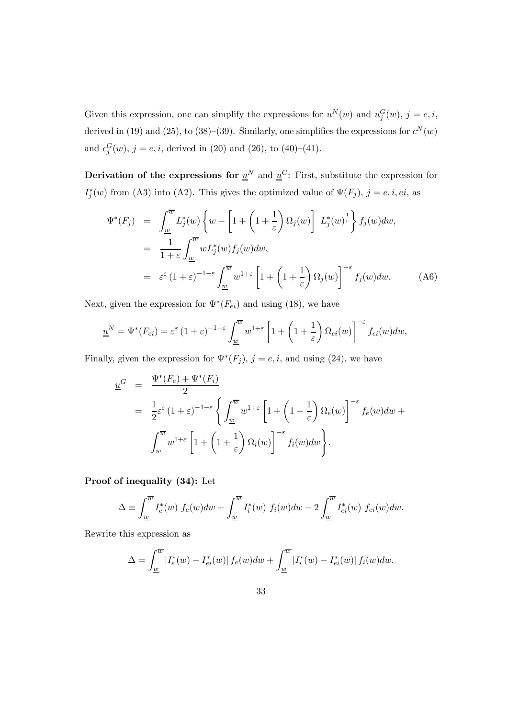Given this expression, one can simplify the expressions for  $u^N(w)$  and  $u_j^G(w)$ ,  $j = e, i$ , derived in (19) and (25), to (38)–(39). Similarly, one simplifies the expressions for  $c^N(w)$ and  $c_j^G(w)$ ,  $j = e, i$ , derived in (20) and (26), to (40)–(41).

Derivation of the expressions for  $\underline{u}^N$  and  $\underline{u}^G$ : First, substitute the expression for  $I_j^*(w)$  from (A3) into (A2). This gives the optimized value of  $\Psi(F_j)$ ,  $j = e, i, ei$ , as

$$
\Psi^*(F_j) = \int_{\underline{w}}^{\overline{w}} L_j^*(w) \left\{ w - \left[ 1 + \left( 1 + \frac{1}{\varepsilon} \right) \Omega_j(w) \right] L_j^*(w) \right\} f_j(w) dw,
$$
  
\n
$$
= \frac{1}{1+\varepsilon} \int_{\underline{w}}^{\overline{w}} w L_j^*(w) f_j(w) dw,
$$
  
\n
$$
= \varepsilon^{\varepsilon} (1+\varepsilon)^{-1-\varepsilon} \int_{\underline{w}}^{\overline{w}} w^{1+\varepsilon} \left[ 1 + \left( 1 + \frac{1}{\varepsilon} \right) \Omega_j(w) \right]^{-\varepsilon} f_j(w) dw.
$$
 (A6)

Next, given the expression for  $\Psi^*(F_{ei})$  and using (18), we have

$$
\underline{u}^N = \Psi^*(F_{ei}) = \varepsilon^{\varepsilon} (1+\varepsilon)^{-1-\varepsilon} \int_{\underline{w}}^{\overline{w}} w^{1+\varepsilon} \left[ 1 + \left( 1 + \frac{1}{\varepsilon} \right) \Omega_{ei}(w) \right]^{-\varepsilon} f_{ei}(w) dw,
$$

Finally, given the expression for  $\Psi^*(F_j)$ ,  $j = e, i$ , and using (24), we have

$$
\underline{u}^{G} = \frac{\Psi^{*}(F_{e}) + \Psi^{*}(F_{i})}{2}
$$
\n
$$
= \frac{1}{2} \varepsilon^{\varepsilon} (1 + \varepsilon)^{-1-\varepsilon} \left\{ \int_{\underline{w}}^{\overline{w}} w^{1+\varepsilon} \left[ 1 + \left( 1 + \frac{1}{\varepsilon} \right) \Omega_{e}(w) \right]^{-\varepsilon} f_{e}(w) dw + \int_{\underline{w}}^{\overline{w}} w^{1+\varepsilon} \left[ 1 + \left( 1 + \frac{1}{\varepsilon} \right) \Omega_{i}(w) \right]^{-\varepsilon} f_{i}(w) dw \right\}.
$$

Proof of inequality (34): Let

$$
\Delta \equiv \int_{\underline{w}}^{\overline{w}} I_e^*(w) f_e(w) dw + \int_{\underline{w}}^{\overline{w}} I_i^*(w) f_i(w) dw - 2 \int_{\underline{w}}^{\overline{w}} I_{ei}^*(w) f_{ei}(w) dw.
$$

Rewrite this expression as

$$
\Delta = \int_{\underline{w}}^{\overline{w}} \left[ I_e^*(w) - I_{ei}^*(w) \right] f_e(w) dw + \int_{\underline{w}}^{\overline{w}} \left[ I_i^*(w) - I_{ei}^*(w) \right] f_i(w) dw.
$$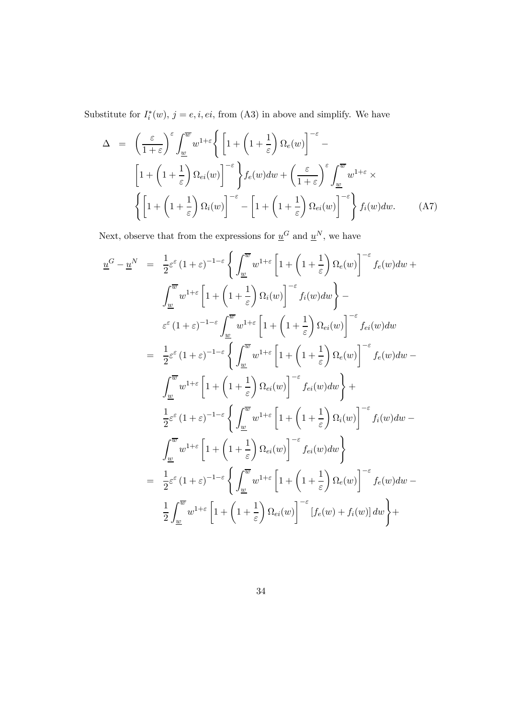Substitute for  $I_i^*(w)$ ,  $j = e, i, ei$ , from (A3) in above and simplify. We have

$$
\Delta = \left(\frac{\varepsilon}{1+\varepsilon}\right)^{\varepsilon} \int_{\underline{w}}^{\overline{w}} w^{1+\varepsilon} \left\{ \left[ 1 + \left( 1 + \frac{1}{\varepsilon} \right) \Omega_e(w) \right]^{-\varepsilon} - \left[ 1 + \left( 1 + \frac{1}{\varepsilon} \right) \Omega_{ei}(w) \right]^{-\varepsilon} \right\} f_e(w) dw + \left( \frac{\varepsilon}{1+\varepsilon} \right)^{\varepsilon} \int_{\underline{w}}^{\overline{w}} w^{1+\varepsilon} \times \left\{ \left[ 1 + \left( 1 + \frac{1}{\varepsilon} \right) \Omega_i(w) \right]^{-\varepsilon} - \left[ 1 + \left( 1 + \frac{1}{\varepsilon} \right) \Omega_{ei}(w) \right]^{-\varepsilon} \right\} f_i(w) dw. \tag{A7}
$$

Next, observe that from the expressions for  $\underline{u}^G$  and<br>  $\underline{u}^N,$  we have

$$
\underline{u}^{G} - \underline{u}^{N} = \frac{1}{2} \varepsilon^{\varepsilon} (1 + \varepsilon)^{-1-\varepsilon} \left\{ \int_{\underline{w}}^{\overline{w}} w^{1+\varepsilon} \left[ 1 + \left( 1 + \frac{1}{\varepsilon} \right) \Omega_{\varepsilon}(w) \right]^{-\varepsilon} f_{\varepsilon}(w) dw + \right.\n\int_{\underline{w}}^{\overline{w}} w^{1+\varepsilon} \left[ 1 + \left( 1 + \frac{1}{\varepsilon} \right) \Omega_{i}(w) \right]^{-\varepsilon} f_{i}(w) dw \right\} -
$$
\n
$$
\varepsilon^{\varepsilon} (1 + \varepsilon)^{-1-\varepsilon} \int_{\underline{w}}^{\overline{w}} w^{1+\varepsilon} \left[ 1 + \left( 1 + \frac{1}{\varepsilon} \right) \Omega_{\varepsilon}(w) \right]^{-\varepsilon} f_{\varepsilon i}(w) dw
$$
\n
$$
= \frac{1}{2} \varepsilon^{\varepsilon} (1 + \varepsilon)^{-1-\varepsilon} \left\{ \int_{\underline{w}}^{\overline{w}} w^{1+\varepsilon} \left[ 1 + \left( 1 + \frac{1}{\varepsilon} \right) \Omega_{\varepsilon}(w) \right]^{-\varepsilon} f_{\varepsilon}(w) dw - \right.\n\int_{\underline{w}}^{\overline{w}} w^{1+\varepsilon} \left[ 1 + \left( 1 + \frac{1}{\varepsilon} \right) \Omega_{\varepsilon i}(w) \right]^{-\varepsilon} f_{\varepsilon i}(w) dw \right\} +
$$
\n
$$
\frac{1}{2} \varepsilon^{\varepsilon} (1 + \varepsilon)^{-1-\varepsilon} \left\{ \int_{\underline{w}}^{\overline{w}} w^{1+\varepsilon} \left[ 1 + \left( 1 + \frac{1}{\varepsilon} \right) \Omega_{i}(w) \right]^{-\varepsilon} f_{i}(w) dw - \int_{\underline{w}}^{\overline{w}} w^{1+\varepsilon} \left[ 1 + \left( 1 + \frac{1}{\varepsilon} \right) \Omega_{\varepsilon i}(w) \right]^{-\varepsilon} f_{\varepsilon}(w) dw - \frac{1}{2} \varepsilon^{\varepsilon} (1 + \vare
$$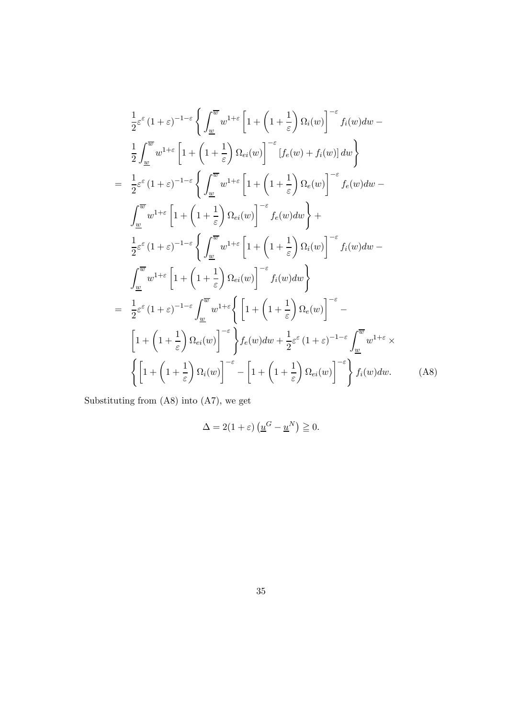$$
\frac{1}{2}\varepsilon^{\varepsilon}(1+\varepsilon)^{-1-\varepsilon}\left\{\int_{\underline{w}}^{\overline{w}}w^{1+\varepsilon}\left[1+\left(1+\frac{1}{\varepsilon}\right)\Omega_{i}(w)\right]^{-\varepsilon}f_{i}(w)dw-\right\}\frac{1}{2}\int_{\underline{w}}^{\overline{w}}w^{1+\varepsilon}\left[1+\left(1+\frac{1}{\varepsilon}\right)\Omega_{ei}(w)\right]^{-\varepsilon}\left[f_{e}(w)+f_{i}(w)\right]dw\right\}\n=\frac{1}{2}\varepsilon^{\varepsilon}(1+\varepsilon)^{-1-\varepsilon}\left\{\int_{\underline{w}}^{\overline{w}}w^{1+\varepsilon}\left[1+\left(1+\frac{1}{\varepsilon}\right)\Omega_{e}(w)\right]^{-\varepsilon}f_{e}(w)dw-\right\}\int_{\underline{w}}^{\overline{w}}w^{1+\varepsilon}\left[1+\left(1+\frac{1}{\varepsilon}\right)\Omega_{ei}(w)\right]^{-\varepsilon}f_{e}(w)dw\right\}+\frac{1}{2}\varepsilon^{\varepsilon}(1+\varepsilon)^{-1-\varepsilon}\left\{\int_{\underline{w}}^{\overline{w}}w^{1+\varepsilon}\left[1+\left(1+\frac{1}{\varepsilon}\right)\Omega_{i}(w)\right]^{-\varepsilon}f_{i}(w)dw-\right\}\int_{\underline{w}}^{\overline{w}}w^{1+\varepsilon}\left[1+\left(1+\frac{1}{\varepsilon}\right)\Omega_{ei}(w)\right]^{-\varepsilon}f_{i}(w)dw\right\}\n=\frac{1}{2}\varepsilon^{\varepsilon}(1+\varepsilon)^{-1-\varepsilon}\int_{\underline{w}}^{\overline{w}}w^{1+\varepsilon}\left\{\left[1+\left(1+\frac{1}{\varepsilon}\right)\Omega_{e}(w)\right]^{-\varepsilon}-\left[1+\left(1+\frac{1}{\varepsilon}\right)\Omega_{ei}(w)\right]^{-\varepsilon}\right\}f_{e}(w)dw+\frac{1}{2}\varepsilon^{\varepsilon}(1+\varepsilon)^{-1-\varepsilon}\int_{\underline{w}}^{\overline{w}}w^{1+\varepsilon}\times\left\{\left[1+\left(1+\frac{1}{\varepsilon}\right)\Omega_{ei}(w)\right]^{-\varepsilon}-\left[1+\left(1+\frac{1}{\v
$$

Substituting from (A8) into (A7), we get

$$
\Delta = 2(1+\varepsilon)\left(\underline{u}^G - \underline{u}^N\right) \geqq 0.
$$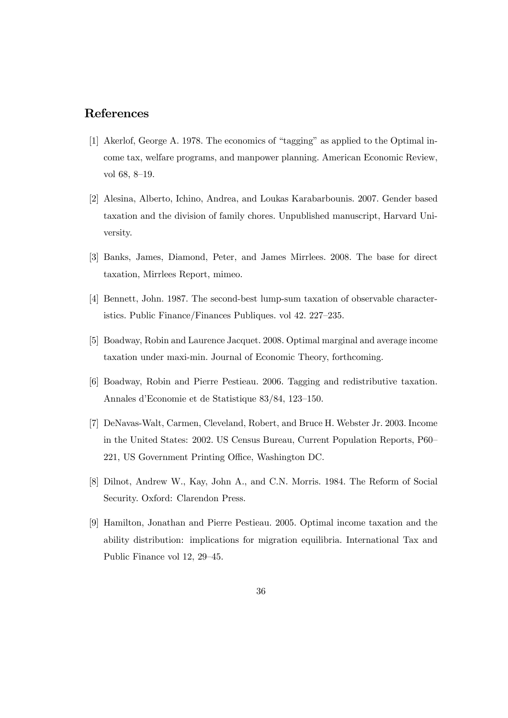### References

- [1] Akerlof, George A. 1978. The economics of "tagging" as applied to the Optimal income tax, welfare programs, and manpower planning. American Economic Review, vol 68, 8—19.
- [2] Alesina, Alberto, Ichino, Andrea, and Loukas Karabarbounis. 2007. Gender based taxation and the division of family chores. Unpublished manuscript, Harvard University.
- [3] Banks, James, Diamond, Peter, and James Mirrlees. 2008. The base for direct taxation, Mirrlees Report, mimeo.
- [4] Bennett, John. 1987. The second-best lump-sum taxation of observable characteristics. Public Finance/Finances Publiques. vol 42. 227—235.
- [5] Boadway, Robin and Laurence Jacquet. 2008. Optimal marginal and average income taxation under maxi-min. Journal of Economic Theory, forthcoming.
- [6] Boadway, Robin and Pierre Pestieau. 2006. Tagging and redistributive taxation. Annales d'Economie et de Statistique 83/84, 123—150.
- [7] DeNavas-Walt, Carmen, Cleveland, Robert, and Bruce H. Webster Jr. 2003. Income in the United States: 2002. US Census Bureau, Current Population Reports, P60— 221, US Government Printing Office, Washington DC.
- [8] Dilnot, Andrew W., Kay, John A., and C.N. Morris. 1984. The Reform of Social Security. Oxford: Clarendon Press.
- [9] Hamilton, Jonathan and Pierre Pestieau. 2005. Optimal income taxation and the ability distribution: implications for migration equilibria. International Tax and Public Finance vol 12, 29—45.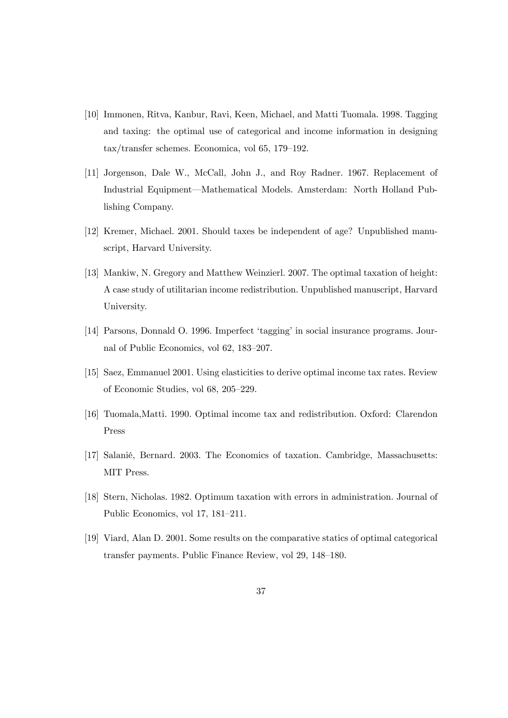- [10] Immonen, Ritva, Kanbur, Ravi, Keen, Michael, and Matti Tuomala. 1998. Tagging and taxing: the optimal use of categorical and income information in designing tax/transfer schemes. Economica, vol 65, 179—192.
- [11] Jorgenson, Dale W., McCall, John J., and Roy Radner. 1967. Replacement of Industrial Equipment–Mathematical Models. Amsterdam: North Holland Publishing Company.
- [12] Kremer, Michael. 2001. Should taxes be independent of age? Unpublished manuscript, Harvard University.
- [13] Mankiw, N. Gregory and Matthew Weinzierl. 2007. The optimal taxation of height: A case study of utilitarian income redistribution. Unpublished manuscript, Harvard University.
- [14] Parsons, Donnald O. 1996. Imperfect 'tagging' in social insurance programs. Journal of Public Economics, vol 62, 183—207.
- [15] Saez, Emmanuel 2001. Using elasticities to derive optimal income tax rates. Review of Economic Studies, vol 68, 205—229.
- [16] Tuomala,Matti. 1990. Optimal income tax and redistribution. Oxford: Clarendon Press
- [17] Salanié, Bernard. 2003. The Economics of taxation. Cambridge, Massachusetts: MIT Press.
- [18] Stern, Nicholas. 1982. Optimum taxation with errors in administration. Journal of Public Economics, vol 17, 181—211.
- [19] Viard, Alan D. 2001. Some results on the comparative statics of optimal categorical transfer payments. Public Finance Review, vol 29, 148—180.